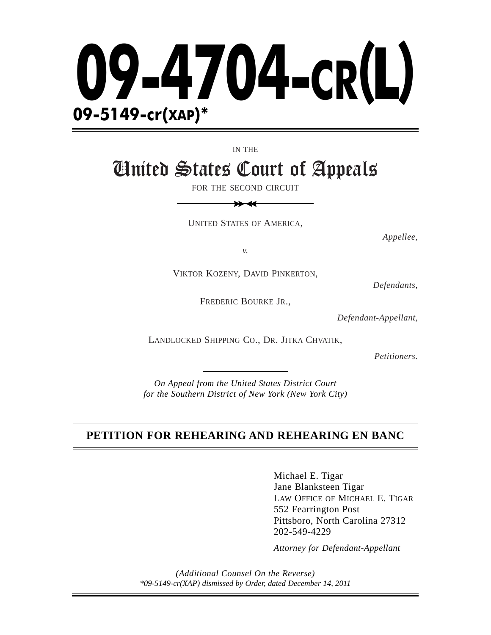# **09-4704-CR(L) 09-5149-cr(XAP)\***

IN THE

# United States Court of Appeals

FOR THE SECOND CIRCUIT

UNITED STATES OF AMERICA,

 $\rightarrow$ 

*Appellee,*

*v.*

VIKTOR KOZENY, DAVID PINKERTON,

*Defendants,*

FREDERIC BOURKE JR.,

*Defendant-Appellant,*

LANDLOCKED SHIPPING CO., DR. JITKA CHVATIK,

*Petitioners.*

*On Appeal from the United States District Court for the Southern District of New York (New York City)*

# **PETITION FOR REHEARING AND REHEARING EN BANC**

Michael E. Tigar Jane Blanksteen Tigar LAW OFFICE OF MICHAEL E. TIGAR 552 Fearrington Post Pittsboro, North Carolina 27312 202-549-4229

*Attorney for Defendant-Appellant*

*(Additional Counsel On the Reverse) \*09-5149-cr(XAP) dismissed by Order, dated December 14, 2011*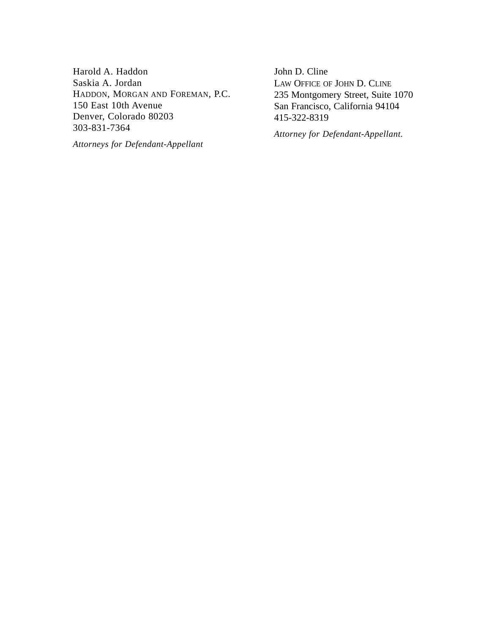Harold A. Haddon Saskia A. Jordan HADDON, MORGAN AND FOREMAN, P.C. 150 East 10th Avenue Denver, Colorado 80203 303-831-7364

*Attorneys for Defendant-Appellant*

John D. Cline LAW OFFICE OF JOHN D. CLINE 235 Montgomery Street, Suite 1070 San Francisco, California 94104 415-322-8319

*Attorney for Defendant-Appellant.*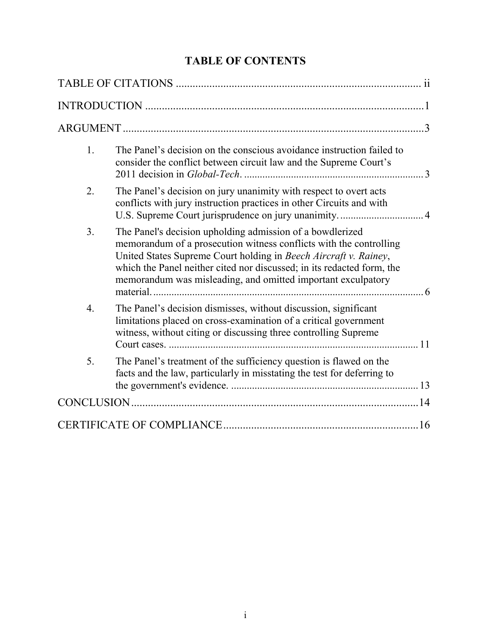# **TABLE OF CONTENTS**

| 1.               | The Panel's decision on the conscious avoidance instruction failed to<br>consider the conflict between circuit law and the Supreme Court's                                                                                                                                                                                                    |     |
|------------------|-----------------------------------------------------------------------------------------------------------------------------------------------------------------------------------------------------------------------------------------------------------------------------------------------------------------------------------------------|-----|
| 2.               | The Panel's decision on jury unanimity with respect to overt acts<br>conflicts with jury instruction practices in other Circuits and with                                                                                                                                                                                                     |     |
| 3.               | The Panel's decision upholding admission of a bowdlerized<br>memorandum of a prosecution witness conflicts with the controlling<br>United States Supreme Court holding in Beech Aircraft v. Rainey,<br>which the Panel neither cited nor discussed; in its redacted form, the<br>memorandum was misleading, and omitted important exculpatory |     |
| $\overline{4}$ . | The Panel's decision dismisses, without discussion, significant<br>limitations placed on cross-examination of a critical government<br>witness, without citing or discussing three controlling Supreme                                                                                                                                        | 11  |
| 5.               | The Panel's treatment of the sufficiency question is flawed on the<br>facts and the law, particularly in misstating the test for deferring to                                                                                                                                                                                                 |     |
|                  |                                                                                                                                                                                                                                                                                                                                               |     |
|                  |                                                                                                                                                                                                                                                                                                                                               | .16 |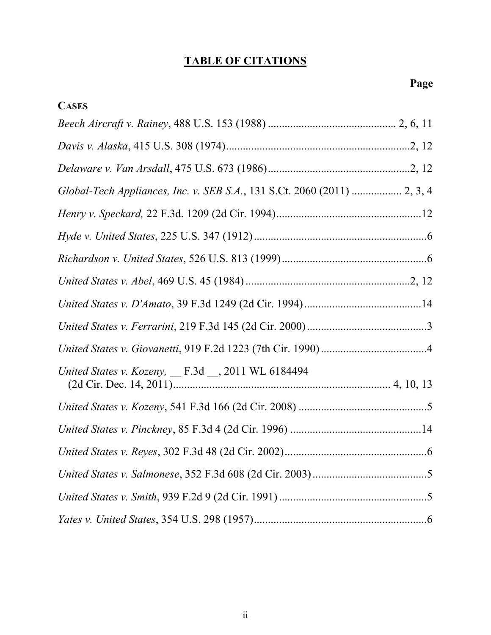# **TABLE OF CITATIONS**

<span id="page-3-0"></span>

| <b>CASES</b>                                                             |  |
|--------------------------------------------------------------------------|--|
|                                                                          |  |
|                                                                          |  |
|                                                                          |  |
| Global-Tech Appliances, Inc. v. SEB S.A., 131 S.Ct. 2060 (2011)  2, 3, 4 |  |
|                                                                          |  |
|                                                                          |  |
|                                                                          |  |
|                                                                          |  |
|                                                                          |  |
|                                                                          |  |
|                                                                          |  |
| United States v. Kozeny, __ F.3d __, 2011 WL 6184494                     |  |
|                                                                          |  |
|                                                                          |  |
|                                                                          |  |
|                                                                          |  |
|                                                                          |  |
|                                                                          |  |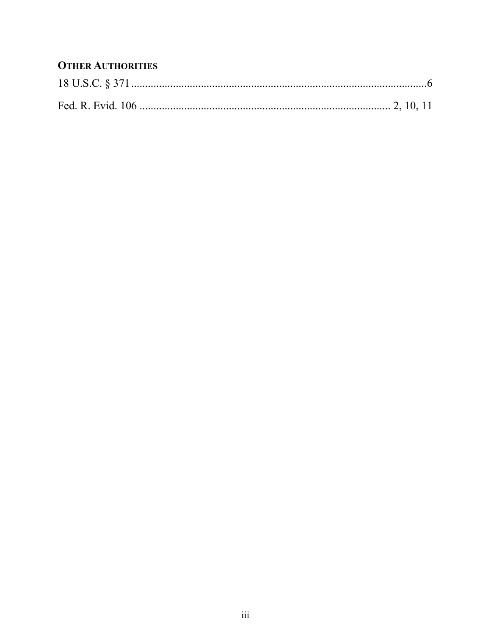# **OTHER AUTHORITIES**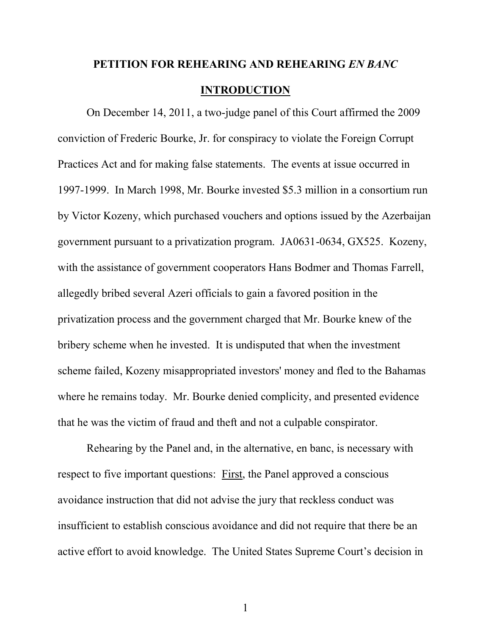#### **PETITION FOR REHEARING AND REHEARING** *EN BANC*

### **INTRODUCTION**

<span id="page-5-0"></span>On December 14, 2011, a two-judge panel of this Court affirmed the 2009 conviction of Frederic Bourke, Jr. for conspiracy to violate the Foreign Corrupt Practices Act and for making false statements. The events at issue occurred in 1997-1999. In March 1998, Mr. Bourke invested \$5.3 million in a consortium run by Victor Kozeny, which purchased vouchers and options issued by the Azerbaijan government pursuant to a privatization program. JA0631-0634, GX525. Kozeny, with the assistance of government cooperators Hans Bodmer and Thomas Farrell, allegedly bribed several Azeri officials to gain a favored position in the privatization process and the government charged that Mr. Bourke knew of the bribery scheme when he invested. It is undisputed that when the investment scheme failed, Kozeny misappropriated investors' money and fled to the Bahamas where he remains today. Mr. Bourke denied complicity, and presented evidence that he was the victim of fraud and theft and not a culpable conspirator.

Rehearing by the Panel and, in the alternative, en banc, is necessary with respect to five important questions: First, the Panel approved a conscious avoidance instruction that did not advise the jury that reckless conduct was insufficient to establish conscious avoidance and did not require that there be an active effort to avoid knowledge. The United States Supreme Court's decision in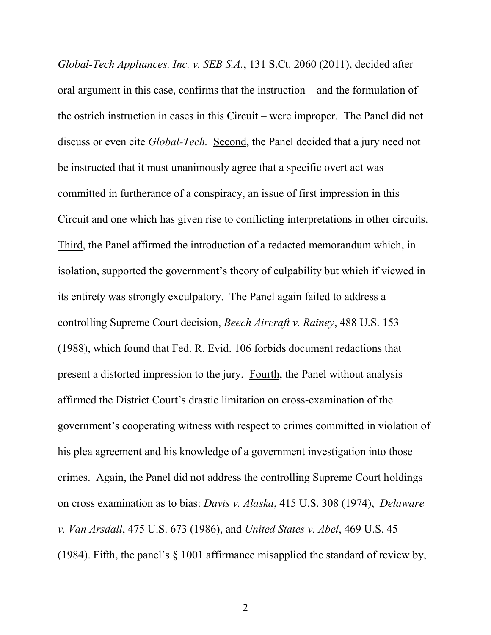*Global-Tech Appliances, Inc. v. SEB S.A.*, 131 S.Ct. 2060 (2011), decided after oral argument in this case, confirms that the instruction – and the formulation of the ostrich instruction in cases in this Circuit – were improper. The Panel did not discuss or even cite *Global-Tech.* Second, the Panel decided that a jury need not be instructed that it must unanimously agree that a specific overt act was committed in furtherance of a conspiracy, an issue of first impression in this Circuit and one which has given rise to conflicting interpretations in other circuits. Third, the Panel affirmed the introduction of a redacted memorandum which, in isolation, supported the government's theory of culpability but which if viewed in its entirety was strongly exculpatory. The Panel again failed to address a controlling Supreme Court decision, *Beech Aircraft v. Rainey*, 488 U.S. 153 (1988), which found that Fed. R. Evid. 106 forbids document redactions that present a distorted impression to the jury. Fourth, the Panel without analysis affirmed the District Court's drastic limitation on cross-examination of the government's cooperating witness with respect to crimes committed in violation of his plea agreement and his knowledge of a government investigation into those crimes. Again, the Panel did not address the controlling Supreme Court holdings on cross examination as to bias: *Davis v. Alaska*, 415 U.S. 308 (1974), *Delaware v. Van Arsdall*, 475 U.S. 673 (1986), and *United States v. Abel*, 469 U.S. 45 (1984). Fifth, the panel's § 1001 affirmance misapplied the standard of review by,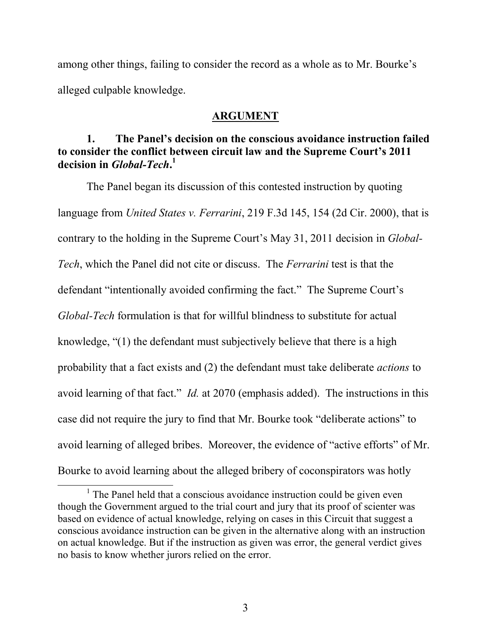among other things, failing to consider the record as a whole as to Mr. Bourke's alleged culpable knowledge.

#### **ARGUMENT**

# <span id="page-7-1"></span><span id="page-7-0"></span>**1. The Panel's decision on the conscious avoidance instruction failed to consider the conflict between circuit law and the Supreme Court's 2011 decision in** *Global-Tech***. 1**

The Panel began its discussion of this contested instruction by quoting language from *United States v. Ferrarini*, 219 F.3d 145, 154 (2d Cir. 2000), that is contrary to the holding in the Supreme Court's May 31, 2011 decision in *Global-Tech*, which the Panel did not cite or discuss. The *Ferrarini* test is that the defendant "intentionally avoided confirming the fact." The Supreme Court's *Global-Tech* formulation is that for willful blindness to substitute for actual knowledge, "(1) the defendant must subjectively believe that there is a high probability that a fact exists and (2) the defendant must take deliberate *actions* to avoid learning of that fact." *Id.* at 2070 (emphasis added). The instructions in this case did not require the jury to find that Mr. Bourke took "deliberate actions" to avoid learning of alleged bribes. Moreover, the evidence of "active efforts" of Mr. Bourke to avoid learning about the alleged bribery of coconspirators was hotly

<sup>&</sup>lt;sup>1</sup> The Panel held that a conscious avoidance instruction could be given even though the Government argued to the trial court and jury that its proof of scienter was based on evidence of actual knowledge, relying on cases in this Circuit that suggest a conscious avoidance instruction can be given in the alternative along with an instruction on actual knowledge. But if the instruction as given was error, the general verdict gives no basis to know whether jurors relied on the error.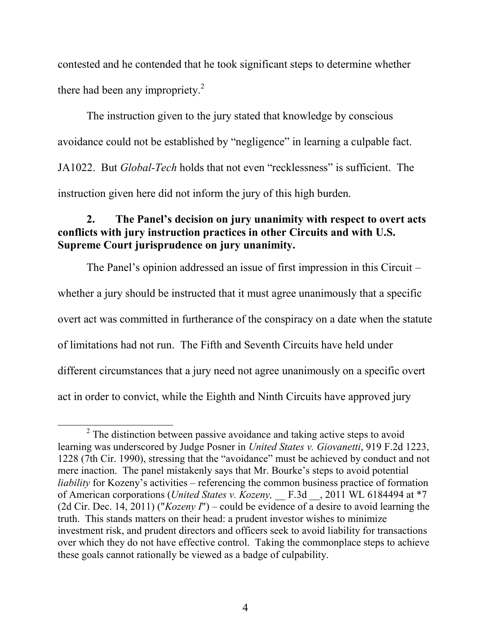contested and he contended that he took significant steps to determine whether there had been any impropriety.<sup>2</sup>

The instruction given to the jury stated that knowledge by conscious avoidance could not be established by "negligence" in learning a culpable fact. JA1022. But *Global-Tech* holds that not even "recklessness" is sufficient. The instruction given here did not inform the jury of this high burden.

# <span id="page-8-0"></span>**2. The Panel's decision on jury unanimity with respect to overt acts conflicts with jury instruction practices in other Circuits and with U.S. Supreme Court jurisprudence on jury unanimity.**

The Panel's opinion addressed an issue of first impression in this Circuit – whether a jury should be instructed that it must agree unanimously that a specific overt act was committed in furtherance of the conspiracy on a date when the statute of limitations had not run. The Fifth and Seventh Circuits have held under different circumstances that a jury need not agree unanimously on a specific overt act in order to convict, while the Eighth and Ninth Circuits have approved jury

 $\overline{a}$  $2^2$  The distinction between passive avoidance and taking active steps to avoid learning was underscored by Judge Posner in *United States v. Giovanetti*, 919 F.2d 1223, 1228 (7th Cir. 1990), stressing that the "avoidance" must be achieved by conduct and not mere inaction. The panel mistakenly says that Mr. Bourke's steps to avoid potential *liability* for Kozeny's activities – referencing the common business practice of formation of American corporations (*United States v. Kozeny,* \_\_ F.3d \_\_, 2011 WL 6184494 at \*7 (2d Cir. Dec. 14, 2011) ("*Kozeny I*") – could be evidence of a desire to avoid learning the truth. This stands matters on their head: a prudent investor wishes to minimize investment risk, and prudent directors and officers seek to avoid liability for transactions over which they do not have effective control. Taking the commonplace steps to achieve these goals cannot rationally be viewed as a badge of culpability.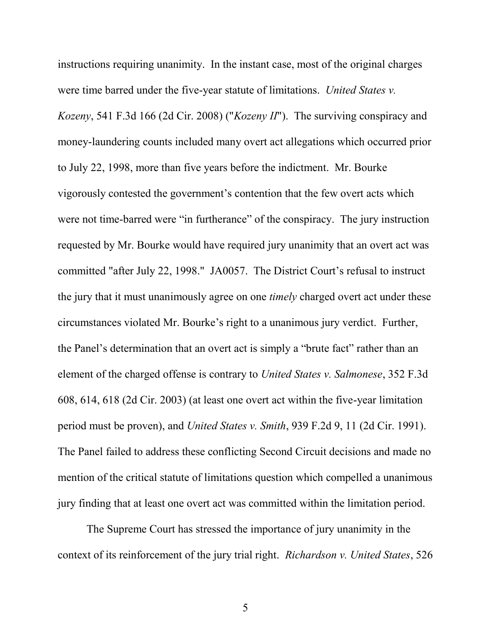instructions requiring unanimity. In the instant case, most of the original charges were time barred under the five-year statute of limitations. *United States v. Kozeny*, 541 F.3d 166 (2d Cir. 2008) ("*Kozeny II*"). The surviving conspiracy and money-laundering counts included many overt act allegations which occurred prior to July 22, 1998, more than five years before the indictment. Mr. Bourke vigorously contested the government's contention that the few overt acts which were not time-barred were "in furtherance" of the conspiracy. The jury instruction requested by Mr. Bourke would have required jury unanimity that an overt act was committed "after July 22, 1998." JA0057. The District Court's refusal to instruct the jury that it must unanimously agree on one *timely* charged overt act under these circumstances violated Mr. Bourke's right to a unanimous jury verdict. Further, the Panel's determination that an overt act is simply a "brute fact" rather than an element of the charged offense is contrary to *United States v. Salmonese*, 352 F.3d 608, 614, 618 (2d Cir. 2003) (at least one overt act within the five-year limitation period must be proven), and *United States v. Smith*, 939 F.2d 9, 11 (2d Cir. 1991). The Panel failed to address these conflicting Second Circuit decisions and made no mention of the critical statute of limitations question which compelled a unanimous jury finding that at least one overt act was committed within the limitation period.

The Supreme Court has stressed the importance of jury unanimity in the context of its reinforcement of the jury trial right. *Richardson v. United States*, 526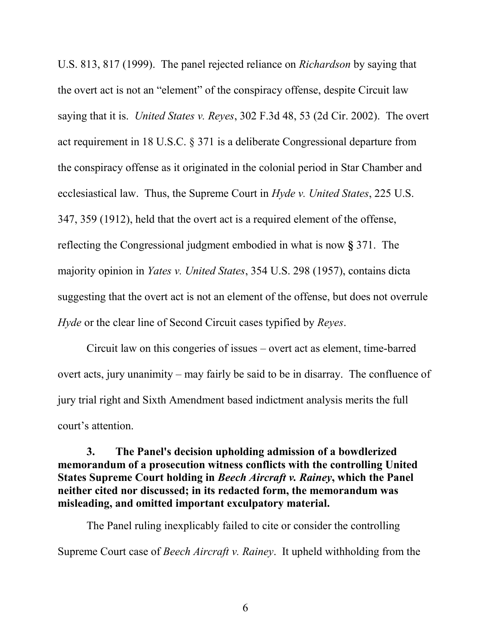U.S. 813, 817 (1999). The panel rejected reliance on *Richardson* by saying that the overt act is not an "element" of the conspiracy offense, despite Circuit law saying that it is. *United States v. Reyes*, 302 F.3d 48, 53 (2d Cir. 2002). The overt act requirement in 18 U.S.C. § 371 is a deliberate Congressional departure from the conspiracy offense as it originated in the colonial period in Star Chamber and ecclesiastical law. Thus, the Supreme Court in *Hyde v. United States*, 225 U.S. 347, 359 (1912), held that the overt act is a required element of the offense, reflecting the Congressional judgment embodied in what is now **§** 371. The majority opinion in *Yates v. United States*, 354 U.S. 298 (1957), contains dicta suggesting that the overt act is not an element of the offense, but does not overrule *Hyde* or the clear line of Second Circuit cases typified by *Reyes*.

Circuit law on this congeries of issues – overt act as element, time-barred overt acts, jury unanimity – may fairly be said to be in disarray. The confluence of jury trial right and Sixth Amendment based indictment analysis merits the full court's attention.

# <span id="page-10-0"></span>**3. The Panel's decision upholding admission of a bowdlerized memorandum of a prosecution witness conflicts with the controlling United States Supreme Court holding in** *Beech Aircraft v. Rainey***, which the Panel neither cited nor discussed; in its redacted form, the memorandum was misleading, and omitted important exculpatory material.**

The Panel ruling inexplicably failed to cite or consider the controlling Supreme Court case of *Beech Aircraft v. Rainey*. It upheld withholding from the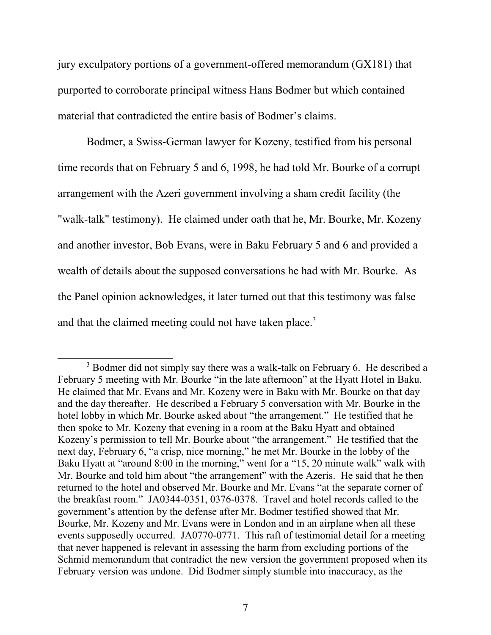jury exculpatory portions of a government-offered memorandum (GX181) that purported to corroborate principal witness Hans Bodmer but which contained material that contradicted the entire basis of Bodmer's claims.

Bodmer, a Swiss-German lawyer for Kozeny, testified from his personal time records that on February 5 and 6, 1998, he had told Mr. Bourke of a corrupt arrangement with the Azeri government involving a sham credit facility (the "walk-talk" testimony). He claimed under oath that he, Mr. Bourke, Mr. Kozeny and another investor, Bob Evans, were in Baku February 5 and 6 and provided a wealth of details about the supposed conversations he had with Mr. Bourke. As the Panel opinion acknowledges, it later turned out that this testimony was false and that the claimed meeting could not have taken place.<sup>3</sup>

 $\overline{a}$  $3$  Bodmer did not simply say there was a walk-talk on February 6. He described a February 5 meeting with Mr. Bourke "in the late afternoon" at the Hyatt Hotel in Baku. He claimed that Mr. Evans and Mr. Kozeny were in Baku with Mr. Bourke on that day and the day thereafter. He described a February 5 conversation with Mr. Bourke in the hotel lobby in which Mr. Bourke asked about "the arrangement." He testified that he then spoke to Mr. Kozeny that evening in a room at the Baku Hyatt and obtained Kozeny's permission to tell Mr. Bourke about "the arrangement." He testified that the next day, February 6, "a crisp, nice morning," he met Mr. Bourke in the lobby of the Baku Hyatt at "around 8:00 in the morning," went for a "15, 20 minute walk" walk with Mr. Bourke and told him about "the arrangement" with the Azeris. He said that he then returned to the hotel and observed Mr. Bourke and Mr. Evans "at the separate corner of the breakfast room." JA0344-0351, 0376-0378. Travel and hotel records called to the government's attention by the defense after Mr. Bodmer testified showed that Mr. Bourke, Mr. Kozeny and Mr. Evans were in London and in an airplane when all these events supposedly occurred. JA0770-0771. This raft of testimonial detail for a meeting that never happened is relevant in assessing the harm from excluding portions of the Schmid memorandum that contradict the new version the government proposed when its February version was undone. Did Bodmer simply stumble into inaccuracy, as the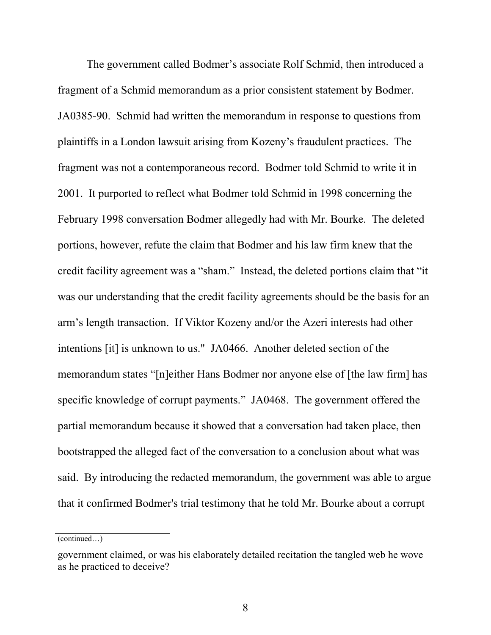The government called Bodmer's associate Rolf Schmid, then introduced a fragment of a Schmid memorandum as a prior consistent statement by Bodmer. JA0385-90. Schmid had written the memorandum in response to questions from plaintiffs in a London lawsuit arising from Kozeny's fraudulent practices. The fragment was not a contemporaneous record. Bodmer told Schmid to write it in 2001. It purported to reflect what Bodmer told Schmid in 1998 concerning the February 1998 conversation Bodmer allegedly had with Mr. Bourke. The deleted portions, however, refute the claim that Bodmer and his law firm knew that the credit facility agreement was a "sham." Instead, the deleted portions claim that "it was our understanding that the credit facility agreements should be the basis for an arm's length transaction. If Viktor Kozeny and/or the Azeri interests had other intentions [it] is unknown to us." JA0466. Another deleted section of the memorandum states "[n]either Hans Bodmer nor anyone else of [the law firm] has specific knowledge of corrupt payments." JA0468. The government offered the partial memorandum because it showed that a conversation had taken place, then bootstrapped the alleged fact of the conversation to a conclusion about what was said. By introducing the redacted memorandum, the government was able to argue that it confirmed Bodmer's trial testimony that he told Mr. Bourke about a corrupt

<sup>(</sup>continued…)

government claimed, or was his elaborately detailed recitation the tangled web he wove as he practiced to deceive?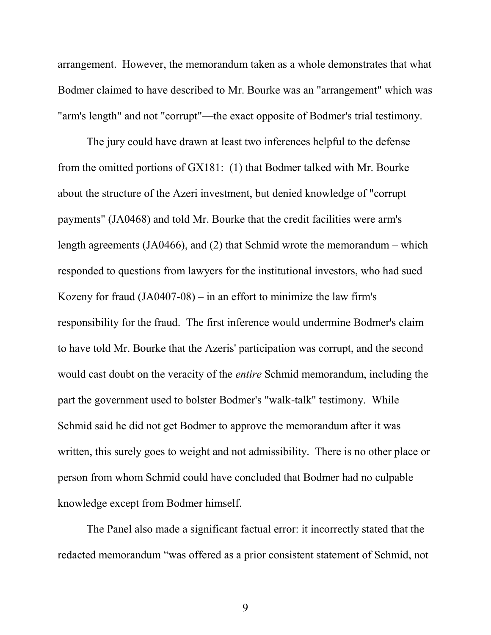arrangement. However, the memorandum taken as a whole demonstrates that what Bodmer claimed to have described to Mr. Bourke was an "arrangement" which was "arm's length" and not "corrupt"—the exact opposite of Bodmer's trial testimony.

The jury could have drawn at least two inferences helpful to the defense from the omitted portions of GX181: (1) that Bodmer talked with Mr. Bourke about the structure of the Azeri investment, but denied knowledge of "corrupt payments" (JA0468) and told Mr. Bourke that the credit facilities were arm's length agreements (JA0466), and (2) that Schmid wrote the memorandum – which responded to questions from lawyers for the institutional investors, who had sued Kozeny for fraud  $(JA0407-08) - in$  an effort to minimize the law firm's responsibility for the fraud. The first inference would undermine Bodmer's claim to have told Mr. Bourke that the Azeris' participation was corrupt, and the second would cast doubt on the veracity of the *entire* Schmid memorandum, including the part the government used to bolster Bodmer's "walk-talk" testimony. While Schmid said he did not get Bodmer to approve the memorandum after it was written, this surely goes to weight and not admissibility. There is no other place or person from whom Schmid could have concluded that Bodmer had no culpable knowledge except from Bodmer himself.

The Panel also made a significant factual error: it incorrectly stated that the redacted memorandum "was offered as a prior consistent statement of Schmid, not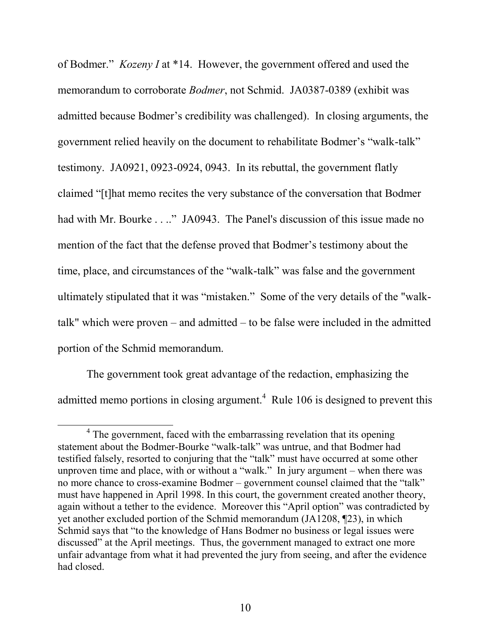of Bodmer." *Kozeny I* at \*14. However, the government offered and used the memorandum to corroborate *Bodmer*, not Schmid. JA0387-0389 (exhibit was admitted because Bodmer's credibility was challenged). In closing arguments, the government relied heavily on the document to rehabilitate Bodmer's "walk-talk" testimony. JA0921, 0923-0924, 0943. In its rebuttal, the government flatly claimed "[t]hat memo recites the very substance of the conversation that Bodmer had with Mr. Bourke . . .." JA0943. The Panel's discussion of this issue made no mention of the fact that the defense proved that Bodmer's testimony about the time, place, and circumstances of the "walk-talk" was false and the government ultimately stipulated that it was "mistaken." Some of the very details of the "walktalk" which were proven – and admitted – to be false were included in the admitted portion of the Schmid memorandum.

The government took great advantage of the redaction, emphasizing the admitted memo portions in closing argument. $4$  Rule 106 is designed to prevent this

 $\overline{a}$ <sup>4</sup> The government, faced with the embarrassing revelation that its opening statement about the Bodmer-Bourke "walk-talk" was untrue, and that Bodmer had testified falsely, resorted to conjuring that the "talk" must have occurred at some other unproven time and place, with or without a "walk." In jury argument – when there was no more chance to cross-examine Bodmer – government counsel claimed that the "talk" must have happened in April 1998. In this court, the government created another theory, again without a tether to the evidence. Moreover this "April option" was contradicted by yet another excluded portion of the Schmid memorandum (JA1208, ¶23), in which Schmid says that "to the knowledge of Hans Bodmer no business or legal issues were discussed" at the April meetings. Thus, the government managed to extract one more unfair advantage from what it had prevented the jury from seeing, and after the evidence had closed.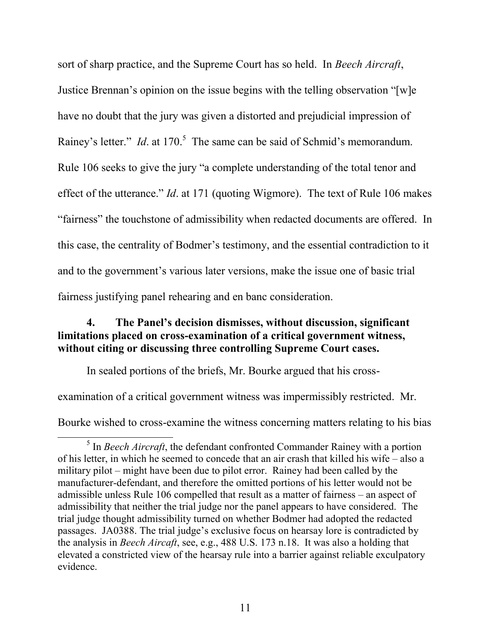sort of sharp practice, and the Supreme Court has so held. In *Beech Aircraft*, Justice Brennan's opinion on the issue begins with the telling observation "[w]e have no doubt that the jury was given a distorted and prejudicial impression of Rainey's letter." *Id.* at 170.<sup>5</sup> The same can be said of Schmid's memorandum. Rule 106 seeks to give the jury "a complete understanding of the total tenor and effect of the utterance." *Id*. at 171 (quoting Wigmore). The text of Rule 106 makes "fairness" the touchstone of admissibility when redacted documents are offered. In this case, the centrality of Bodmer's testimony, and the essential contradiction to it and to the government's various later versions, make the issue one of basic trial fairness justifying panel rehearing and en banc consideration.

# <span id="page-15-0"></span>**4. The Panel's decision dismisses, without discussion, significant limitations placed on cross-examination of a critical government witness, without citing or discussing three controlling Supreme Court cases.**

In sealed portions of the briefs, Mr. Bourke argued that his cross-

examination of a critical government witness was impermissibly restricted. Mr.

Bourke wished to cross-examine the witness concerning matters relating to his bias

 $\overline{a}$  $<sup>5</sup>$  In *Beech Aircraft*, the defendant confronted Commander Rainey with a portion</sup> of his letter, in which he seemed to concede that an air crash that killed his wife – also a military pilot – might have been due to pilot error. Rainey had been called by the manufacturer-defendant, and therefore the omitted portions of his letter would not be admissible unless Rule 106 compelled that result as a matter of fairness – an aspect of admissibility that neither the trial judge nor the panel appears to have considered. The trial judge thought admissibility turned on whether Bodmer had adopted the redacted passages. JA0388. The trial judge's exclusive focus on hearsay lore is contradicted by the analysis in *Beech Aircaft*, see, e.g., 488 U.S. 173 n.18. It was also a holding that elevated a constricted view of the hearsay rule into a barrier against reliable exculpatory evidence.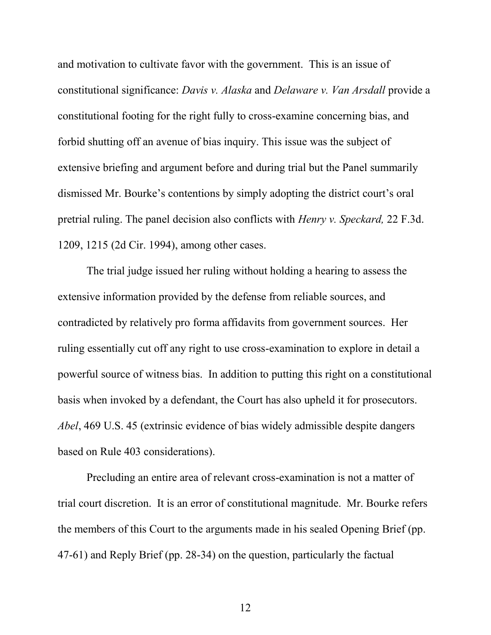and motivation to cultivate favor with the government. This is an issue of constitutional significance: *Davis v. Alaska* and *Delaware v. Van Arsdall* provide a constitutional footing for the right fully to cross-examine concerning bias, and forbid shutting off an avenue of bias inquiry. This issue was the subject of extensive briefing and argument before and during trial but the Panel summarily dismissed Mr. Bourke's contentions by simply adopting the district court's oral pretrial ruling. The panel decision also conflicts with *Henry v. Speckard,* 22 F.3d. 1209, 1215 (2d Cir. 1994), among other cases.

The trial judge issued her ruling without holding a hearing to assess the extensive information provided by the defense from reliable sources, and contradicted by relatively pro forma affidavits from government sources. Her ruling essentially cut off any right to use cross-examination to explore in detail a powerful source of witness bias. In addition to putting this right on a constitutional basis when invoked by a defendant, the Court has also upheld it for prosecutors. *Abel*, 469 U.S. 45 (extrinsic evidence of bias widely admissible despite dangers based on Rule 403 considerations).

Precluding an entire area of relevant cross-examination is not a matter of trial court discretion. It is an error of constitutional magnitude. Mr. Bourke refers the members of this Court to the arguments made in his sealed Opening Brief (pp. 47-61) and Reply Brief (pp. 28-34) on the question, particularly the factual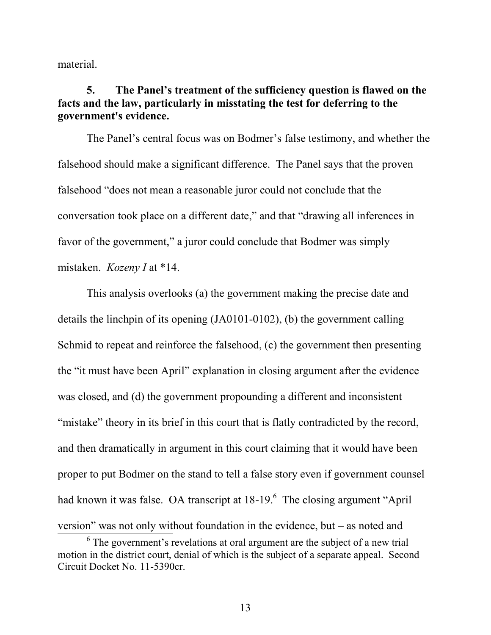material.

# <span id="page-17-0"></span>**5. The Panel's treatment of the sufficiency question is flawed on the facts and the law, particularly in misstating the test for deferring to the government's evidence.**

The Panel's central focus was on Bodmer's false testimony, and whether the falsehood should make a significant difference. The Panel says that the proven falsehood "does not mean a reasonable juror could not conclude that the conversation took place on a different date," and that "drawing all inferences in favor of the government," a juror could conclude that Bodmer was simply mistaken. *Kozeny I* at \*14.

This analysis overlooks (a) the government making the precise date and details the linchpin of its opening (JA0101-0102), (b) the government calling Schmid to repeat and reinforce the falsehood, (c) the government then presenting the "it must have been April" explanation in closing argument after the evidence was closed, and (d) the government propounding a different and inconsistent "mistake" theory in its brief in this court that is flatly contradicted by the record, and then dramatically in argument in this court claiming that it would have been proper to put Bodmer on the stand to tell a false story even if government counsel had known it was false. OA transcript at  $18-19$ . The closing argument "April" version" was not only without foundation in the evidence, but – as noted and

<sup>&</sup>lt;sup>6</sup> The government's revelations at oral argument are the subject of a new trial motion in the district court, denial of which is the subject of a separate appeal. Second Circuit Docket No. 11-5390cr.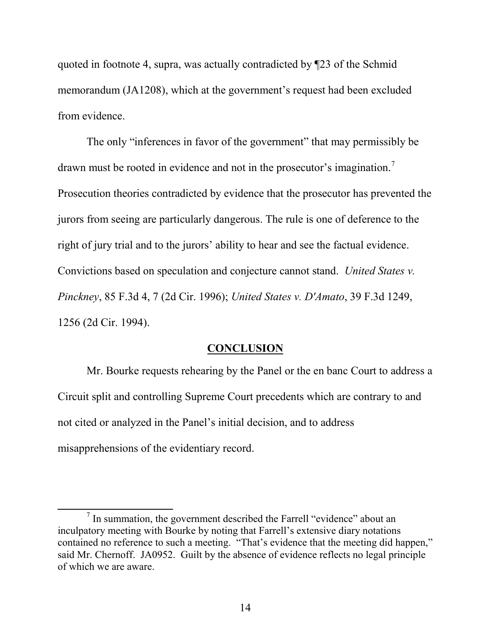quoted in footnote 4, supra, was actually contradicted by ¶23 of the Schmid memorandum (JA1208), which at the government's request had been excluded from evidence.

The only "inferences in favor of the government" that may permissibly be drawn must be rooted in evidence and not in the prosecutor's imagination.<sup>7</sup> Prosecution theories contradicted by evidence that the prosecutor has prevented the jurors from seeing are particularly dangerous. The rule is one of deference to the right of jury trial and to the jurors' ability to hear and see the factual evidence. Convictions based on speculation and conjecture cannot stand. *United States v. Pinckney*, 85 F.3d 4, 7 (2d Cir. 1996); *United States v. D'Amato*, 39 F.3d 1249, 1256 (2d Cir. 1994).

#### **CONCLUSION**

<span id="page-18-0"></span>Mr. Bourke requests rehearing by the Panel or the en banc Court to address a Circuit split and controlling Supreme Court precedents which are contrary to and not cited or analyzed in the Panel's initial decision, and to address misapprehensions of the evidentiary record.

 $\overline{a}$  $<sup>7</sup>$  In summation, the government described the Farrell "evidence" about an</sup> inculpatory meeting with Bourke by noting that Farrell's extensive diary notations contained no reference to such a meeting. "That's evidence that the meeting did happen," said Mr. Chernoff. JA0952. Guilt by the absence of evidence reflects no legal principle of which we are aware.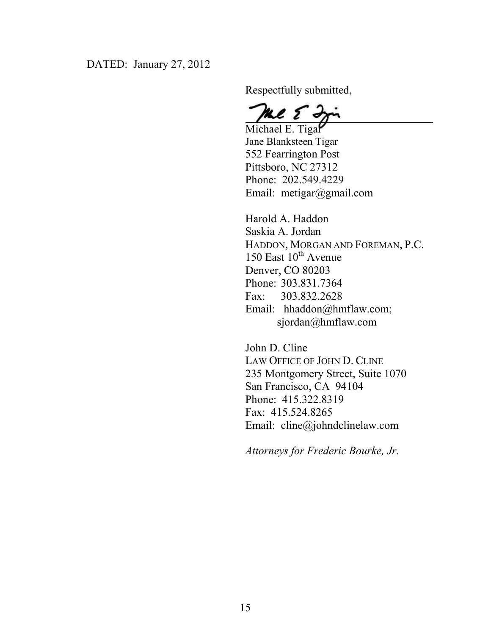Respectfully submitted,

Ke E Z

Michael E. Tigar Jane Blanksteen Tigar 552 Fearrington Post Pittsboro, NC 27312 Phone: 202.549.4229 Email: metigar@gmail.com

Harold A. Haddon Saskia A. Jordan HADDON, MORGAN AND FOREMAN, P.C. 150 East  $10^{th}$  Avenue Denver, CO 80203 Phone: 303.831.7364 Fax: 303.832.2628 Email: hhaddon@hmflaw.com; sjordan@hmflaw.com

John D. Cline LAW OFFICE OF JOHN D. CLINE 235 Montgomery Street, Suite 1070 San Francisco, CA 94104 Phone: 415.322.8319 Fax: 415.524.8265 Email: cline@johndclinelaw.com

*Attorneys for Frederic Bourke, Jr.*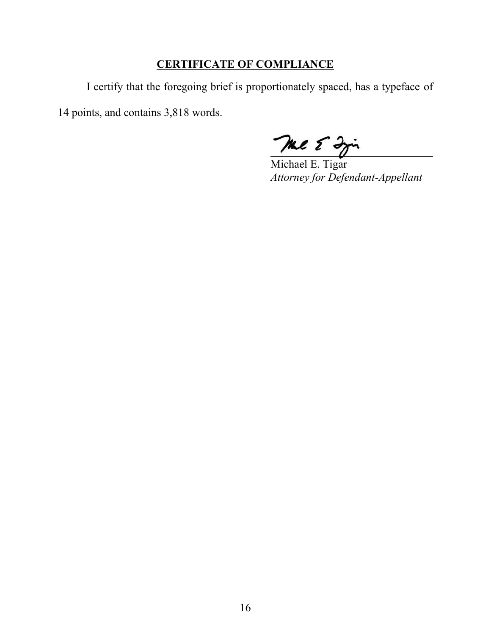# **CERTIFICATE OF COMPLIANCE**

<span id="page-20-0"></span>I certify that the foregoing brief is proportionately spaced, has a typeface of 14 points, and contains 3,818 words.

The E Zyin

Michael E. Tigar *Attorney for Defendant-Appellant*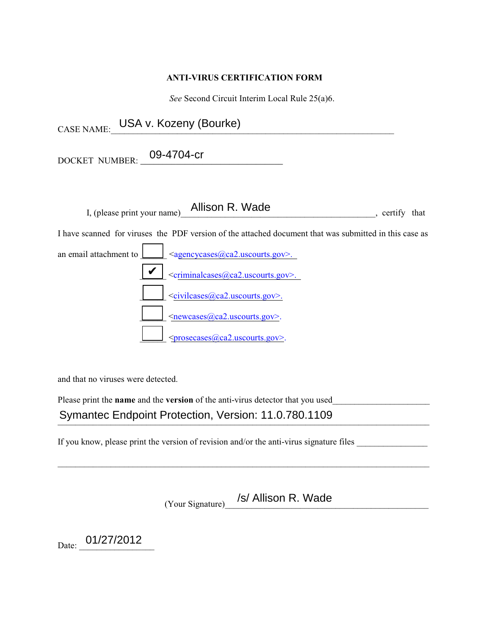#### **ANTI-VIRUS CERTIFICATION FORM**

*See* Second Circuit Interim Local Rule 25(a)6.

| USA v. Kozeny (Bourke)<br><b>CASE NAME:</b>                                                            |
|--------------------------------------------------------------------------------------------------------|
| DOCKET NUMBER: 09-4704-cr                                                                              |
| Allison R. Wade<br>I, (please print your name)<br>, certify that                                       |
| I have scanned for viruses the PDF version of the attached document that was submitted in this case as |
| <agencycases@ca2.uscourts.gov>.<br/>an email attachment to</agencycases@ca2.uscourts.gov>              |
| <criminalcases@ca2.uscourts.gov>.</criminalcases@ca2.uscourts.gov>                                     |
| <civilcases@ca2.uscourts.gov>.</civilcases@ca2.uscourts.gov>                                           |
| $\leq$ newcases( $\omega$ ca2.uscourts.gov>.                                                           |
| <prosecases@ca2.uscourts.gov>.</prosecases@ca2.uscourts.gov>                                           |
| and that no viruses were detected.                                                                     |
| Please print the <b>name</b> and the version of the anti-virus detector that you used                  |
| Symantec Endpoint Protection, Version: 11.0.780.1109                                                   |
| If you know, please print the version of revision and/or the anti-virus signature files                |
| /s/ Allison R. Wade<br>(Your Signature)                                                                |
| 01/27/2012                                                                                             |

| Please print the <b>name</b> and the <b>version</b> of the anti-virus detector that you used                                                    |                     |  |  |  |
|-------------------------------------------------------------------------------------------------------------------------------------------------|---------------------|--|--|--|
| Symantec Endpoint Protection, Version: 11.0.780.1109<br>If you know, please print the version of revision and/or the anti-virus signature files |                     |  |  |  |
|                                                                                                                                                 |                     |  |  |  |
| (Your Signature)                                                                                                                                | /s/ Allison R. Wade |  |  |  |

Date: 01/27/2012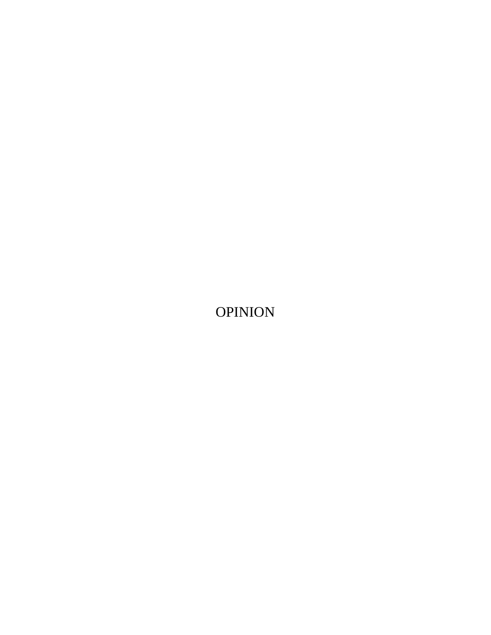OPINION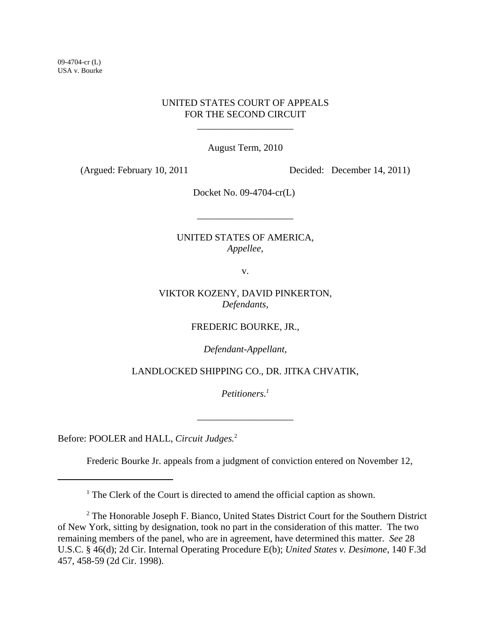#### UNITED STATES COURT OF APPEALS FOR THE SECOND CIRCUIT

\_\_\_\_\_\_\_\_\_\_\_\_\_\_\_\_\_\_\_\_

August Term, 2010

(Argued: February 10, 2011 Decided: December 14, 2011)

Docket No. 09-4704-cr(L)

\_\_\_\_\_\_\_\_\_\_\_\_\_\_\_\_\_\_\_\_

UNITED STATES OF AMERICA, *Appellee,*

v.

VIKTOR KOZENY, DAVID PINKERTON, *Defendants,*

FREDERIC BOURKE, JR.,

*Defendant-Appellant,*

LANDLOCKED SHIPPING CO., DR. JITKA CHVATIK,

*Petitioners.1*

\_\_\_\_\_\_\_\_\_\_\_\_\_\_\_\_\_\_\_\_

Before: POOLER and HALL, *Circuit Judges.*<sup>2</sup>

Frederic Bourke Jr. appeals from a judgment of conviction entered on November 12,

<sup>&</sup>lt;sup>1</sup> The Clerk of the Court is directed to amend the official caption as shown.

<sup>&</sup>lt;sup>2</sup> The Honorable Joseph F. Bianco, United States District Court for the Southern District of New York, sitting by designation, took no part in the consideration of this matter. The two remaining members of the panel, who are in agreement, have determined this matter. *See* 28 U.S.C. § 46(d); 2d Cir. Internal Operating Procedure E(b); *United States v. Desimone*, 140 F.3d 457, 458-59 (2d Cir. 1998).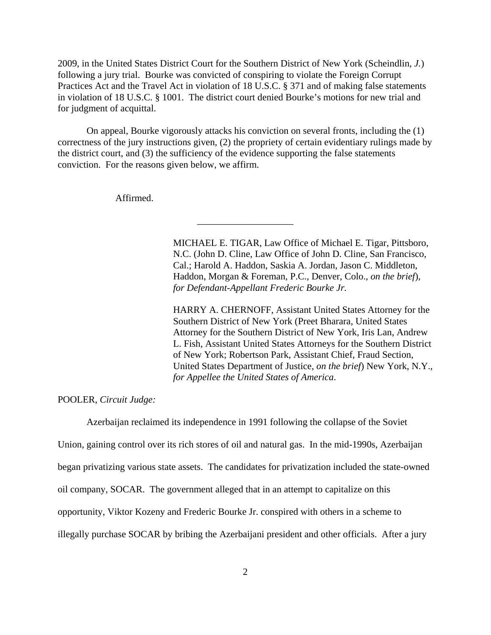2009, in the United States District Court for the Southern District of New York (Scheindlin, *J.*) following a jury trial. Bourke was convicted of conspiring to violate the Foreign Corrupt Practices Act and the Travel Act in violation of 18 U.S.C. § 371 and of making false statements in violation of 18 U.S.C. § 1001. The district court denied Bourke's motions for new trial and for judgment of acquittal.

On appeal, Bourke vigorously attacks his conviction on several fronts, including the (1) correctness of the jury instructions given, (2) the propriety of certain evidentiary rulings made by the district court, and (3) the sufficiency of the evidence supporting the false statements conviction. For the reasons given below, we affirm.

\_\_\_\_\_\_\_\_\_\_\_\_\_\_\_\_\_\_\_\_

Affirmed.

MICHAEL E. TIGAR, Law Office of Michael E. Tigar, Pittsboro, N.C. (John D. Cline, Law Office of John D. Cline, San Francisco, Cal.; Harold A. Haddon, Saskia A. Jordan, Jason C. Middleton, Haddon, Morgan & Foreman, P.C., Denver, Colo., *on the brief*), *for Defendant-Appellant Frederic Bourke Jr.*

HARRY A. CHERNOFF, Assistant United States Attorney for the Southern District of New York (Preet Bharara, United States Attorney for the Southern District of New York, Iris Lan, Andrew L. Fish, Assistant United States Attorneys for the Southern District of New York; Robertson Park, Assistant Chief, Fraud Section, United States Department of Justice, *on the brief*) New York, N.Y., *for Appellee the United States of America*.

POOLER, *Circuit Judge:*

Azerbaijan reclaimed its independence in 1991 following the collapse of the Soviet Union, gaining control over its rich stores of oil and natural gas. In the mid-1990s, Azerbaijan began privatizing various state assets. The candidates for privatization included the state-owned oil company, SOCAR. The government alleged that in an attempt to capitalize on this opportunity, Viktor Kozeny and Frederic Bourke Jr. conspired with others in a scheme to illegally purchase SOCAR by bribing the Azerbaijani president and other officials. After a jury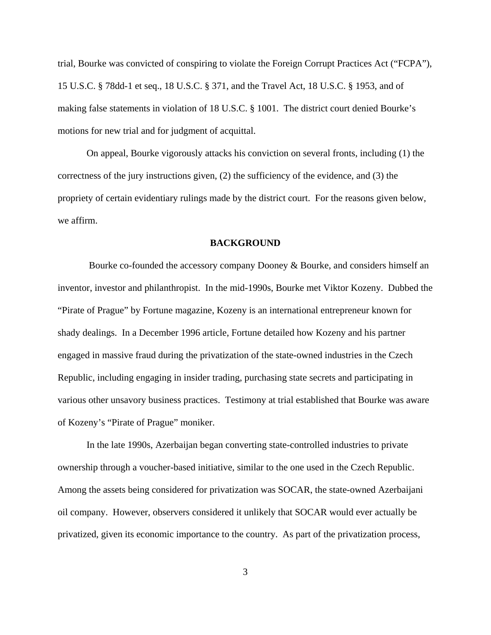trial, Bourke was convicted of conspiring to violate the Foreign Corrupt Practices Act ("FCPA"), 15 U.S.C. § 78dd-1 et seq., 18 U.S.C. § 371, and the Travel Act, 18 U.S.C. § 1953, and of making false statements in violation of 18 U.S.C. § 1001. The district court denied Bourke's motions for new trial and for judgment of acquittal.

On appeal, Bourke vigorously attacks his conviction on several fronts, including (1) the correctness of the jury instructions given, (2) the sufficiency of the evidence, and (3) the propriety of certain evidentiary rulings made by the district court. For the reasons given below, we affirm.

#### **BACKGROUND**

 Bourke co-founded the accessory company Dooney & Bourke, and considers himself an inventor, investor and philanthropist. In the mid-1990s, Bourke met Viktor Kozeny. Dubbed the "Pirate of Prague" by Fortune magazine, Kozeny is an international entrepreneur known for shady dealings. In a December 1996 article, Fortune detailed how Kozeny and his partner engaged in massive fraud during the privatization of the state-owned industries in the Czech Republic, including engaging in insider trading, purchasing state secrets and participating in various other unsavory business practices. Testimony at trial established that Bourke was aware of Kozeny's "Pirate of Prague" moniker.

In the late 1990s, Azerbaijan began converting state-controlled industries to private ownership through a voucher-based initiative, similar to the one used in the Czech Republic. Among the assets being considered for privatization was SOCAR, the state-owned Azerbaijani oil company. However, observers considered it unlikely that SOCAR would ever actually be privatized, given its economic importance to the country. As part of the privatization process,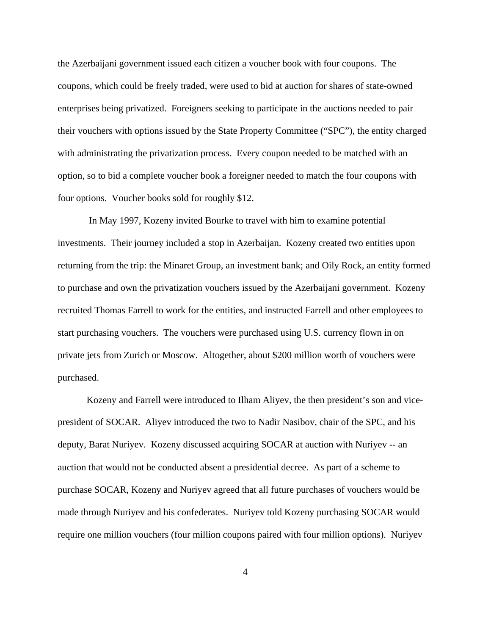the Azerbaijani government issued each citizen a voucher book with four coupons. The coupons, which could be freely traded, were used to bid at auction for shares of state-owned enterprises being privatized. Foreigners seeking to participate in the auctions needed to pair their vouchers with options issued by the State Property Committee ("SPC"), the entity charged with administrating the privatization process. Every coupon needed to be matched with an option, so to bid a complete voucher book a foreigner needed to match the four coupons with four options. Voucher books sold for roughly \$12.

 In May 1997, Kozeny invited Bourke to travel with him to examine potential investments. Their journey included a stop in Azerbaijan. Kozeny created two entities upon returning from the trip: the Minaret Group, an investment bank; and Oily Rock, an entity formed to purchase and own the privatization vouchers issued by the Azerbaijani government. Kozeny recruited Thomas Farrell to work for the entities, and instructed Farrell and other employees to start purchasing vouchers. The vouchers were purchased using U.S. currency flown in on private jets from Zurich or Moscow. Altogether, about \$200 million worth of vouchers were purchased.

Kozeny and Farrell were introduced to Ilham Aliyev, the then president's son and vicepresident of SOCAR. Aliyev introduced the two to Nadir Nasibov, chair of the SPC, and his deputy, Barat Nuriyev. Kozeny discussed acquiring SOCAR at auction with Nuriyev -- an auction that would not be conducted absent a presidential decree. As part of a scheme to purchase SOCAR, Kozeny and Nuriyev agreed that all future purchases of vouchers would be made through Nuriyev and his confederates. Nuriyev told Kozeny purchasing SOCAR would require one million vouchers (four million coupons paired with four million options). Nuriyev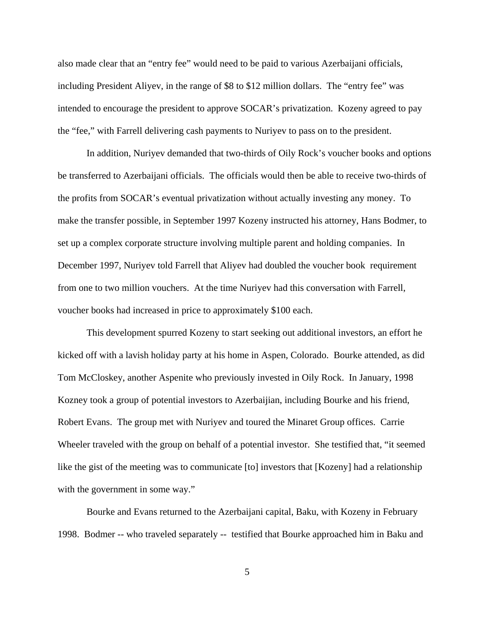also made clear that an "entry fee" would need to be paid to various Azerbaijani officials, including President Aliyev, in the range of \$8 to \$12 million dollars. The "entry fee" was intended to encourage the president to approve SOCAR's privatization. Kozeny agreed to pay the "fee," with Farrell delivering cash payments to Nuriyev to pass on to the president.

In addition, Nuriyev demanded that two-thirds of Oily Rock's voucher books and options be transferred to Azerbaijani officials. The officials would then be able to receive two-thirds of the profits from SOCAR's eventual privatization without actually investing any money. To make the transfer possible, in September 1997 Kozeny instructed his attorney, Hans Bodmer, to set up a complex corporate structure involving multiple parent and holding companies. In December 1997, Nuriyev told Farrell that Aliyev had doubled the voucher book requirement from one to two million vouchers. At the time Nuriyev had this conversation with Farrell, voucher books had increased in price to approximately \$100 each.

This development spurred Kozeny to start seeking out additional investors, an effort he kicked off with a lavish holiday party at his home in Aspen, Colorado. Bourke attended, as did Tom McCloskey, another Aspenite who previously invested in Oily Rock. In January, 1998 Kozney took a group of potential investors to Azerbaijian, including Bourke and his friend, Robert Evans. The group met with Nuriyev and toured the Minaret Group offices. Carrie Wheeler traveled with the group on behalf of a potential investor. She testified that, "it seemed like the gist of the meeting was to communicate [to] investors that [Kozeny] had a relationship with the government in some way."

Bourke and Evans returned to the Azerbaijani capital, Baku, with Kozeny in February 1998. Bodmer -- who traveled separately -- testified that Bourke approached him in Baku and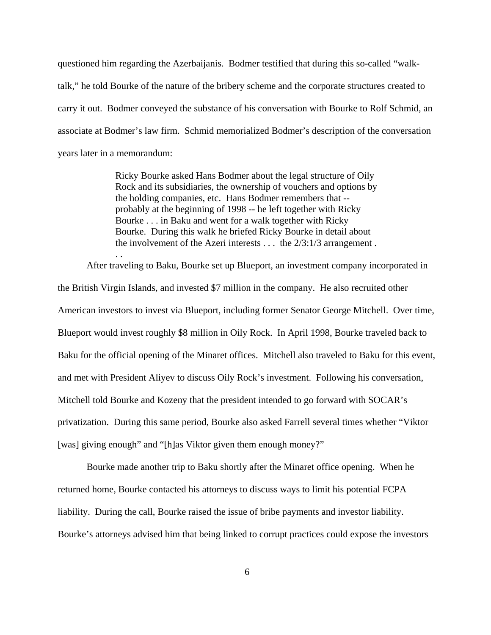questioned him regarding the Azerbaijanis. Bodmer testified that during this so-called "walktalk," he told Bourke of the nature of the bribery scheme and the corporate structures created to carry it out. Bodmer conveyed the substance of his conversation with Bourke to Rolf Schmid, an associate at Bodmer's law firm. Schmid memorialized Bodmer's description of the conversation years later in a memorandum:

> Ricky Bourke asked Hans Bodmer about the legal structure of Oily Rock and its subsidiaries, the ownership of vouchers and options by the holding companies, etc. Hans Bodmer remembers that - probably at the beginning of 1998 -- he left together with Ricky Bourke . . . in Baku and went for a walk together with Ricky Bourke. During this walk he briefed Ricky Bourke in detail about the involvement of the Azeri interests . . . the 2/3:1/3 arrangement .

. .

After traveling to Baku, Bourke set up Blueport, an investment company incorporated in the British Virgin Islands, and invested \$7 million in the company. He also recruited other American investors to invest via Blueport, including former Senator George Mitchell. Over time, Blueport would invest roughly \$8 million in Oily Rock. In April 1998, Bourke traveled back to Baku for the official opening of the Minaret offices. Mitchell also traveled to Baku for this event, and met with President Aliyev to discuss Oily Rock's investment. Following his conversation, Mitchell told Bourke and Kozeny that the president intended to go forward with SOCAR's privatization. During this same period, Bourke also asked Farrell several times whether "Viktor [was] giving enough" and "[h]as Viktor given them enough money?"

Bourke made another trip to Baku shortly after the Minaret office opening. When he returned home, Bourke contacted his attorneys to discuss ways to limit his potential FCPA liability. During the call, Bourke raised the issue of bribe payments and investor liability. Bourke's attorneys advised him that being linked to corrupt practices could expose the investors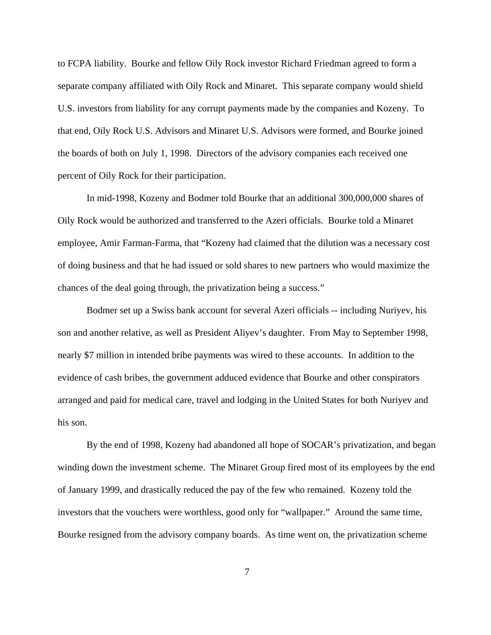to FCPA liability. Bourke and fellow Oily Rock investor Richard Friedman agreed to form a separate company affiliated with Oily Rock and Minaret. This separate company would shield U.S. investors from liability for any corrupt payments made by the companies and Kozeny. To that end, Oily Rock U.S. Advisors and Minaret U.S. Advisors were formed, and Bourke joined the boards of both on July 1, 1998. Directors of the advisory companies each received one percent of Oily Rock for their participation.

In mid-1998, Kozeny and Bodmer told Bourke that an additional 300,000,000 shares of Oily Rock would be authorized and transferred to the Azeri officials. Bourke told a Minaret employee, Amir Farman-Farma, that "Kozeny had claimed that the dilution was a necessary cost of doing business and that he had issued or sold shares to new partners who would maximize the chances of the deal going through, the privatization being a success."

Bodmer set up a Swiss bank account for several Azeri officials -- including Nuriyev, his son and another relative, as well as President Aliyev's daughter. From May to September 1998, nearly \$7 million in intended bribe payments was wired to these accounts. In addition to the evidence of cash bribes, the government adduced evidence that Bourke and other conspirators arranged and paid for medical care, travel and lodging in the United States for both Nuriyev and his son.

By the end of 1998, Kozeny had abandoned all hope of SOCAR's privatization, and began winding down the investment scheme. The Minaret Group fired most of its employees by the end of January 1999, and drastically reduced the pay of the few who remained. Kozeny told the investors that the vouchers were worthless, good only for "wallpaper." Around the same time, Bourke resigned from the advisory company boards. As time went on, the privatization scheme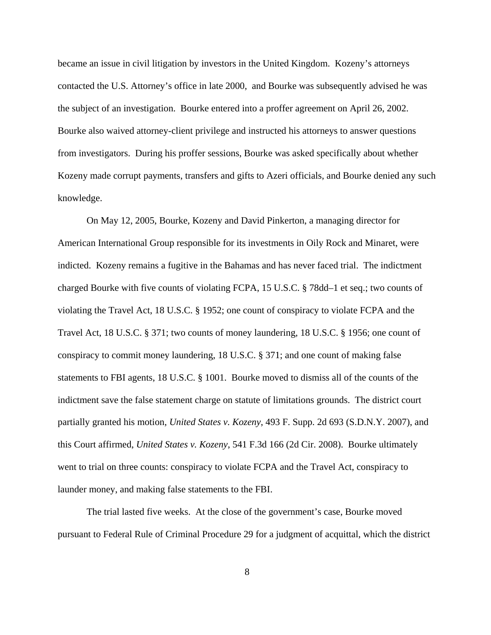became an issue in civil litigation by investors in the United Kingdom. Kozeny's attorneys contacted the U.S. Attorney's office in late 2000, and Bourke was subsequently advised he was the subject of an investigation. Bourke entered into a proffer agreement on April 26, 2002. Bourke also waived attorney-client privilege and instructed his attorneys to answer questions from investigators. During his proffer sessions, Bourke was asked specifically about whether Kozeny made corrupt payments, transfers and gifts to Azeri officials, and Bourke denied any such knowledge.

On May 12, 2005, Bourke, Kozeny and David Pinkerton, a managing director for American International Group responsible for its investments in Oily Rock and Minaret, were indicted. Kozeny remains a fugitive in the Bahamas and has never faced trial. The indictment charged Bourke with five counts of violating FCPA, 15 U.S.C. § 78dd–1 et seq.; two counts of violating the Travel Act, 18 U.S.C. § 1952; one count of conspiracy to violate FCPA and the Travel Act, 18 U.S.C. § 371; two counts of money laundering, 18 U.S.C. § 1956; one count of conspiracy to commit money laundering, 18 U.S.C. § 371; and one count of making false statements to FBI agents, 18 U.S.C. § 1001. Bourke moved to dismiss all of the counts of the indictment save the false statement charge on statute of limitations grounds. The district court partially granted his motion, *United States v. Kozeny*, 493 F. Supp. 2d 693 (S.D.N.Y. 2007), and this Court affirmed, *United States v. Kozeny*, 541 F.3d 166 (2d Cir. 2008). Bourke ultimately went to trial on three counts: conspiracy to violate FCPA and the Travel Act, conspiracy to launder money, and making false statements to the FBI.

The trial lasted five weeks. At the close of the government's case, Bourke moved pursuant to Federal Rule of Criminal Procedure 29 for a judgment of acquittal, which the district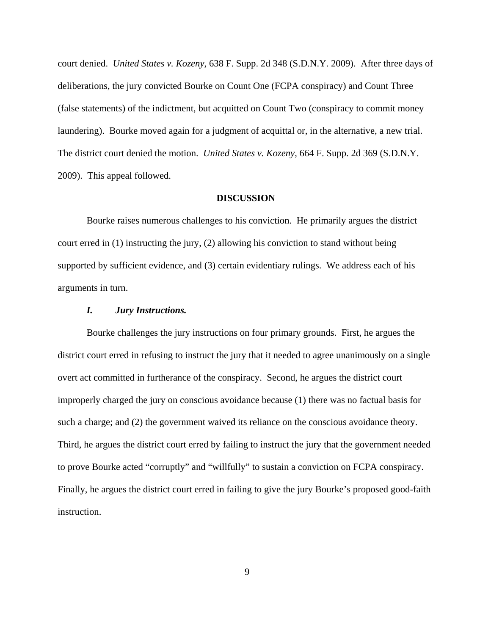court denied. *United States v. Kozeny*, 638 F. Supp. 2d 348 (S.D.N.Y. 2009). After three days of deliberations, the jury convicted Bourke on Count One (FCPA conspiracy) and Count Three (false statements) of the indictment, but acquitted on Count Two (conspiracy to commit money laundering). Bourke moved again for a judgment of acquittal or, in the alternative, a new trial. The district court denied the motion. *United States v. Kozeny*, 664 F. Supp. 2d 369 (S.D.N.Y. 2009). This appeal followed.

#### **DISCUSSION**

Bourke raises numerous challenges to his conviction. He primarily argues the district court erred in (1) instructing the jury, (2) allowing his conviction to stand without being supported by sufficient evidence, and (3) certain evidentiary rulings. We address each of his arguments in turn.

#### *I. Jury Instructions.*

Bourke challenges the jury instructions on four primary grounds. First, he argues the district court erred in refusing to instruct the jury that it needed to agree unanimously on a single overt act committed in furtherance of the conspiracy. Second, he argues the district court improperly charged the jury on conscious avoidance because (1) there was no factual basis for such a charge; and (2) the government waived its reliance on the conscious avoidance theory. Third, he argues the district court erred by failing to instruct the jury that the government needed to prove Bourke acted "corruptly" and "willfully" to sustain a conviction on FCPA conspiracy. Finally, he argues the district court erred in failing to give the jury Bourke's proposed good-faith instruction.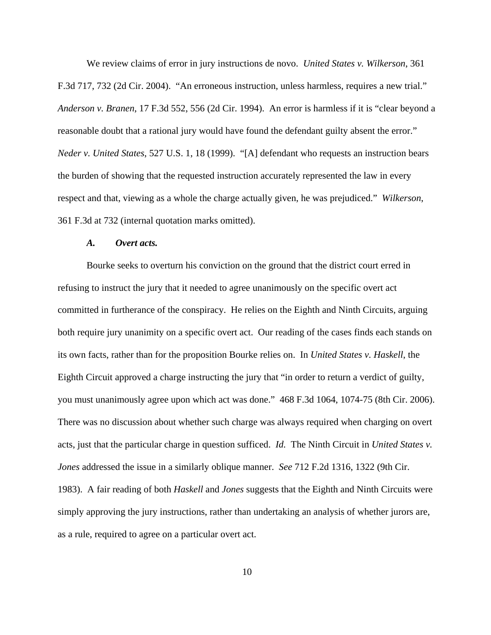We review claims of error in jury instructions de novo. *United States v. Wilkerson*, 361 F.3d 717, 732 (2d Cir. 2004). "An erroneous instruction, unless harmless, requires a new trial." *Anderson v. Branen*, 17 F.3d 552, 556 (2d Cir. 1994). An error is harmless if it is "clear beyond a reasonable doubt that a rational jury would have found the defendant guilty absent the error." *Neder v. United States*, 527 U.S. 1, 18 (1999). "[A] defendant who requests an instruction bears the burden of showing that the requested instruction accurately represented the law in every respect and that, viewing as a whole the charge actually given, he was prejudiced." *Wilkerson*, 361 F.3d at 732 (internal quotation marks omitted).

#### *A. Overt acts.*

Bourke seeks to overturn his conviction on the ground that the district court erred in refusing to instruct the jury that it needed to agree unanimously on the specific overt act committed in furtherance of the conspiracy. He relies on the Eighth and Ninth Circuits, arguing both require jury unanimity on a specific overt act. Our reading of the cases finds each stands on its own facts, rather than for the proposition Bourke relies on. In *United States v. Haskell*, the Eighth Circuit approved a charge instructing the jury that "in order to return a verdict of guilty, you must unanimously agree upon which act was done." 468 F.3d 1064, 1074-75 (8th Cir. 2006). There was no discussion about whether such charge was always required when charging on overt acts, just that the particular charge in question sufficed. *Id.* The Ninth Circuit in *United States v. Jones* addressed the issue in a similarly oblique manner. *See* 712 F.2d 1316, 1322 (9th Cir. 1983). A fair reading of both *Haskell* and *Jones* suggests that the Eighth and Ninth Circuits were simply approving the jury instructions, rather than undertaking an analysis of whether jurors are, as a rule, required to agree on a particular overt act.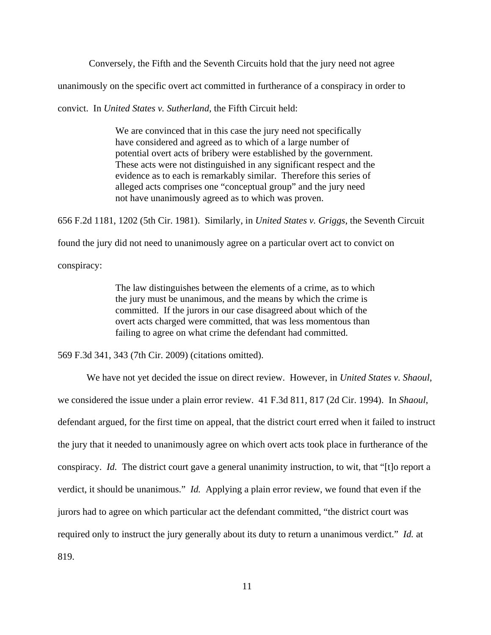Conversely, the Fifth and the Seventh Circuits hold that the jury need not agree

unanimously on the specific overt act committed in furtherance of a conspiracy in order to

convict. In *United States v. Sutherland*, the Fifth Circuit held:

We are convinced that in this case the jury need not specifically have considered and agreed as to which of a large number of potential overt acts of bribery were established by the government. These acts were not distinguished in any significant respect and the evidence as to each is remarkably similar. Therefore this series of alleged acts comprises one "conceptual group" and the jury need not have unanimously agreed as to which was proven.

656 F.2d 1181, 1202 (5th Cir. 1981). Similarly, in *United States v. Griggs*, the Seventh Circuit

found the jury did not need to unanimously agree on a particular overt act to convict on

conspiracy:

The law distinguishes between the elements of a crime, as to which the jury must be unanimous, and the means by which the crime is committed. If the jurors in our case disagreed about which of the overt acts charged were committed, that was less momentous than failing to agree on what crime the defendant had committed.

569 F.3d 341, 343 (7th Cir. 2009) (citations omitted).

We have not yet decided the issue on direct review. However, in *United States v. Shaoul*, we considered the issue under a plain error review. 41 F.3d 811, 817 (2d Cir. 1994). In *Shaoul*, defendant argued, for the first time on appeal, that the district court erred when it failed to instruct the jury that it needed to unanimously agree on which overt acts took place in furtherance of the conspiracy. *Id.* The district court gave a general unanimity instruction, to wit, that "[t]o report a verdict, it should be unanimous." *Id.* Applying a plain error review, we found that even if the jurors had to agree on which particular act the defendant committed, "the district court was required only to instruct the jury generally about its duty to return a unanimous verdict." *Id.* at 819.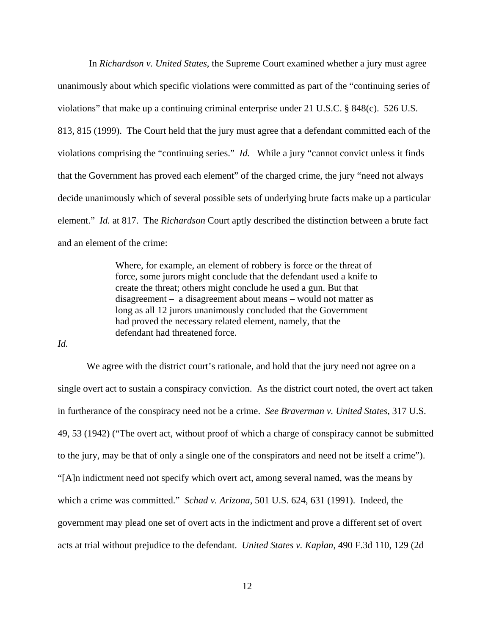In *Richardson v. United States*, the Supreme Court examined whether a jury must agree unanimously about which specific violations were committed as part of the "continuing series of violations" that make up a continuing criminal enterprise under 21 U.S.C. § 848(c). 526 U.S. 813, 815 (1999). The Court held that the jury must agree that a defendant committed each of the violations comprising the "continuing series." *Id.* While a jury "cannot convict unless it finds that the Government has proved each element" of the charged crime, the jury "need not always decide unanimously which of several possible sets of underlying brute facts make up a particular element." *Id.* at 817. The *Richardson* Court aptly described the distinction between a brute fact and an element of the crime:

> Where, for example, an element of robbery is force or the threat of force, some jurors might conclude that the defendant used a knife to create the threat; others might conclude he used a gun. But that disagreement – a disagreement about means – would not matter as long as all 12 jurors unanimously concluded that the Government had proved the necessary related element, namely, that the defendant had threatened force.

*Id.*

We agree with the district court's rationale, and hold that the jury need not agree on a single overt act to sustain a conspiracy conviction. As the district court noted, the overt act taken in furtherance of the conspiracy need not be a crime. *See Braverman v. United States*, 317 U.S. 49, 53 (1942) ("The overt act, without proof of which a charge of conspiracy cannot be submitted to the jury, may be that of only a single one of the conspirators and need not be itself a crime"). "[A]n indictment need not specify which overt act, among several named, was the means by which a crime was committed." *Schad v. Arizona*, 501 U.S. 624, 631 (1991). Indeed, the government may plead one set of overt acts in the indictment and prove a different set of overt acts at trial without prejudice to the defendant. *United States v. Kaplan*, 490 F.3d 110, 129 (2d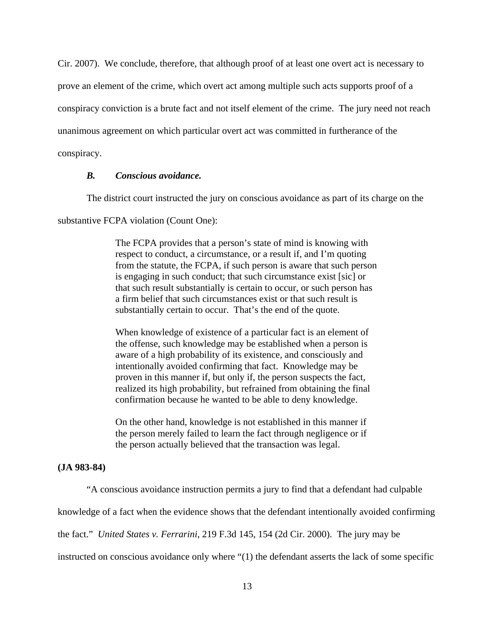Cir. 2007). We conclude, therefore, that although proof of at least one overt act is necessary to prove an element of the crime, which overt act among multiple such acts supports proof of a conspiracy conviction is a brute fact and not itself element of the crime. The jury need not reach unanimous agreement on which particular overt act was committed in furtherance of the conspiracy.

#### *B. Conscious avoidance.*

The district court instructed the jury on conscious avoidance as part of its charge on the

substantive FCPA violation (Count One):

The FCPA provides that a person's state of mind is knowing with respect to conduct, a circumstance, or a result if, and I'm quoting from the statute, the FCPA, if such person is aware that such person is engaging in such conduct; that such circumstance exist [sic] or that such result substantially is certain to occur, or such person has a firm belief that such circumstances exist or that such result is substantially certain to occur. That's the end of the quote.

When knowledge of existence of a particular fact is an element of the offense, such knowledge may be established when a person is aware of a high probability of its existence, and consciously and intentionally avoided confirming that fact. Knowledge may be proven in this manner if, but only if, the person suspects the fact, realized its high probability, but refrained from obtaining the final confirmation because he wanted to be able to deny knowledge.

On the other hand, knowledge is not established in this manner if the person merely failed to learn the fact through negligence or if the person actually believed that the transaction was legal.

#### **(JA 983-84)**

"A conscious avoidance instruction permits a jury to find that a defendant had culpable knowledge of a fact when the evidence shows that the defendant intentionally avoided confirming the fact." *United States v. Ferrarini*, 219 F.3d 145, 154 (2d Cir. 2000). The jury may be instructed on conscious avoidance only where "(1) the defendant asserts the lack of some specific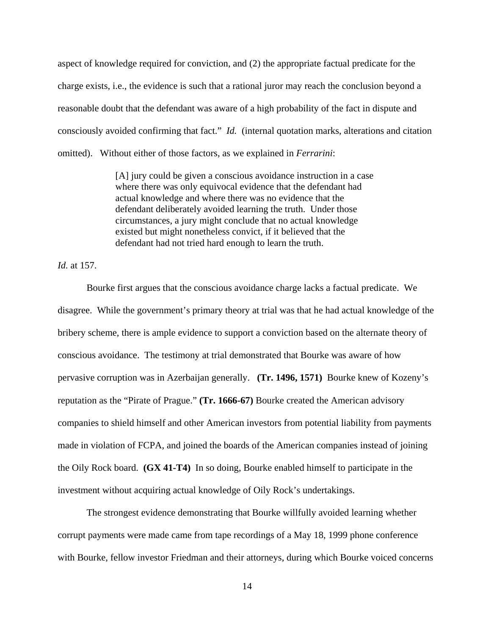aspect of knowledge required for conviction, and (2) the appropriate factual predicate for the charge exists, i.e., the evidence is such that a rational juror may reach the conclusion beyond a reasonable doubt that the defendant was aware of a high probability of the fact in dispute and consciously avoided confirming that fact." *Id.* (internal quotation marks, alterations and citation omitted). Without either of those factors, as we explained in *Ferrarini*:

> [A] jury could be given a conscious avoidance instruction in a case where there was only equivocal evidence that the defendant had actual knowledge and where there was no evidence that the defendant deliberately avoided learning the truth. Under those circumstances, a jury might conclude that no actual knowledge existed but might nonetheless convict, if it believed that the defendant had not tried hard enough to learn the truth.

*Id.* at 157.

Bourke first argues that the conscious avoidance charge lacks a factual predicate. We disagree. While the government's primary theory at trial was that he had actual knowledge of the bribery scheme, there is ample evidence to support a conviction based on the alternate theory of conscious avoidance. The testimony at trial demonstrated that Bourke was aware of how pervasive corruption was in Azerbaijan generally. **(Tr. 1496, 1571)** Bourke knew of Kozeny's reputation as the "Pirate of Prague." **(Tr. 1666-67)** Bourke created the American advisory companies to shield himself and other American investors from potential liability from payments made in violation of FCPA, and joined the boards of the American companies instead of joining the Oily Rock board. **(GX 41-T4)** In so doing, Bourke enabled himself to participate in the investment without acquiring actual knowledge of Oily Rock's undertakings.

The strongest evidence demonstrating that Bourke willfully avoided learning whether corrupt payments were made came from tape recordings of a May 18, 1999 phone conference with Bourke, fellow investor Friedman and their attorneys, during which Bourke voiced concerns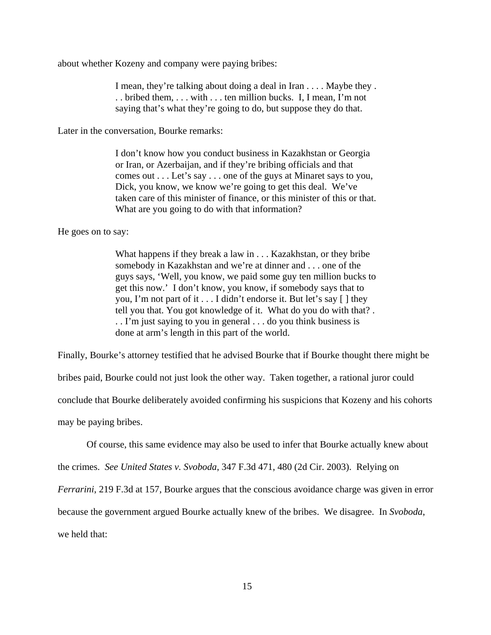about whether Kozeny and company were paying bribes:

I mean, they're talking about doing a deal in Iran . . . . Maybe they . . . bribed them, . . . with . . . ten million bucks. I, I mean, I'm not saying that's what they're going to do, but suppose they do that.

Later in the conversation, Bourke remarks:

I don't know how you conduct business in Kazakhstan or Georgia or Iran, or Azerbaijan, and if they're bribing officials and that comes out . . . Let's say . . . one of the guys at Minaret says to you, Dick, you know, we know we're going to get this deal. We've taken care of this minister of finance, or this minister of this or that. What are you going to do with that information?

He goes on to say:

What happens if they break a law in . . . Kazakhstan, or they bribe somebody in Kazakhstan and we're at dinner and . . . one of the guys says, 'Well, you know, we paid some guy ten million bucks to get this now.' I don't know, you know, if somebody says that to you, I'm not part of it . . . I didn't endorse it. But let's say [ ] they tell you that. You got knowledge of it. What do you do with that? . . . I'm just saying to you in general . . . do you think business is done at arm's length in this part of the world.

Finally, Bourke's attorney testified that he advised Bourke that if Bourke thought there might be bribes paid, Bourke could not just look the other way. Taken together, a rational juror could conclude that Bourke deliberately avoided confirming his suspicions that Kozeny and his cohorts may be paying bribes.

Of course, this same evidence may also be used to infer that Bourke actually knew about

the crimes. *See United States v. Svoboda*, 347 F.3d 471, 480 (2d Cir. 2003). Relying on

*Ferrarini*, 219 F.3d at 157, Bourke argues that the conscious avoidance charge was given in error

because the government argued Bourke actually knew of the bribes. We disagree. In *Svoboda*,

we held that: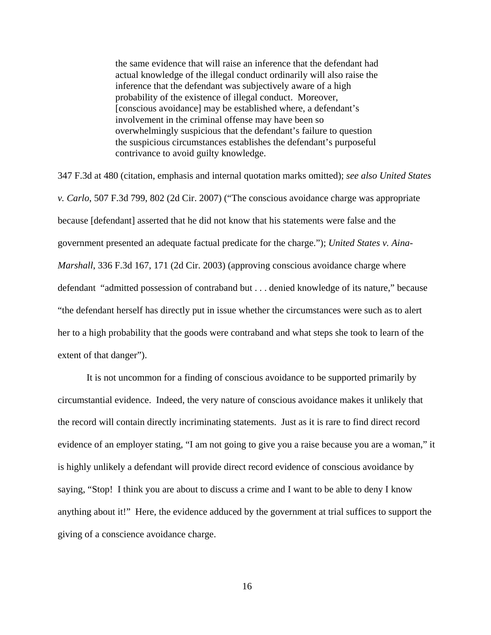the same evidence that will raise an inference that the defendant had actual knowledge of the illegal conduct ordinarily will also raise the inference that the defendant was subjectively aware of a high probability of the existence of illegal conduct. Moreover, [conscious avoidance] may be established where, a defendant's involvement in the criminal offense may have been so overwhelmingly suspicious that the defendant's failure to question the suspicious circumstances establishes the defendant's purposeful contrivance to avoid guilty knowledge.

347 F.3d at 480 (citation, emphasis and internal quotation marks omitted); *see also United States v. Carlo*, 507 F.3d 799, 802 (2d Cir. 2007) ("The conscious avoidance charge was appropriate because [defendant] asserted that he did not know that his statements were false and the government presented an adequate factual predicate for the charge."); *United States v. Aina-Marshall*, 336 F.3d 167, 171 (2d Cir. 2003) (approving conscious avoidance charge where defendant "admitted possession of contraband but . . . denied knowledge of its nature," because "the defendant herself has directly put in issue whether the circumstances were such as to alert her to a high probability that the goods were contraband and what steps she took to learn of the extent of that danger".

It is not uncommon for a finding of conscious avoidance to be supported primarily by circumstantial evidence. Indeed, the very nature of conscious avoidance makes it unlikely that the record will contain directly incriminating statements. Just as it is rare to find direct record evidence of an employer stating, "I am not going to give you a raise because you are a woman," it is highly unlikely a defendant will provide direct record evidence of conscious avoidance by saying, "Stop! I think you are about to discuss a crime and I want to be able to deny I know anything about it!" Here, the evidence adduced by the government at trial suffices to support the giving of a conscience avoidance charge.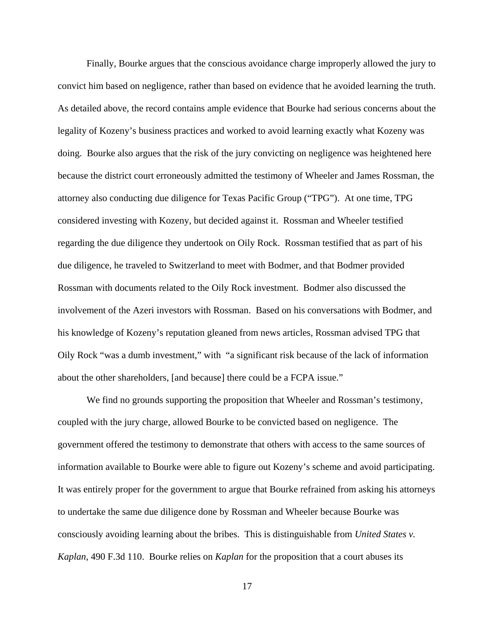Finally, Bourke argues that the conscious avoidance charge improperly allowed the jury to convict him based on negligence, rather than based on evidence that he avoided learning the truth. As detailed above, the record contains ample evidence that Bourke had serious concerns about the legality of Kozeny's business practices and worked to avoid learning exactly what Kozeny was doing. Bourke also argues that the risk of the jury convicting on negligence was heightened here because the district court erroneously admitted the testimony of Wheeler and James Rossman, the attorney also conducting due diligence for Texas Pacific Group ("TPG"). At one time, TPG considered investing with Kozeny, but decided against it. Rossman and Wheeler testified regarding the due diligence they undertook on Oily Rock. Rossman testified that as part of his due diligence, he traveled to Switzerland to meet with Bodmer, and that Bodmer provided Rossman with documents related to the Oily Rock investment. Bodmer also discussed the involvement of the Azeri investors with Rossman. Based on his conversations with Bodmer, and his knowledge of Kozeny's reputation gleaned from news articles, Rossman advised TPG that Oily Rock "was a dumb investment," with "a significant risk because of the lack of information about the other shareholders, [and because] there could be a FCPA issue."

We find no grounds supporting the proposition that Wheeler and Rossman's testimony, coupled with the jury charge, allowed Bourke to be convicted based on negligence. The government offered the testimony to demonstrate that others with access to the same sources of information available to Bourke were able to figure out Kozeny's scheme and avoid participating. It was entirely proper for the government to argue that Bourke refrained from asking his attorneys to undertake the same due diligence done by Rossman and Wheeler because Bourke was consciously avoiding learning about the bribes. This is distinguishable from *United States v. Kaplan*, 490 F.3d 110. Bourke relies on *Kaplan* for the proposition that a court abuses its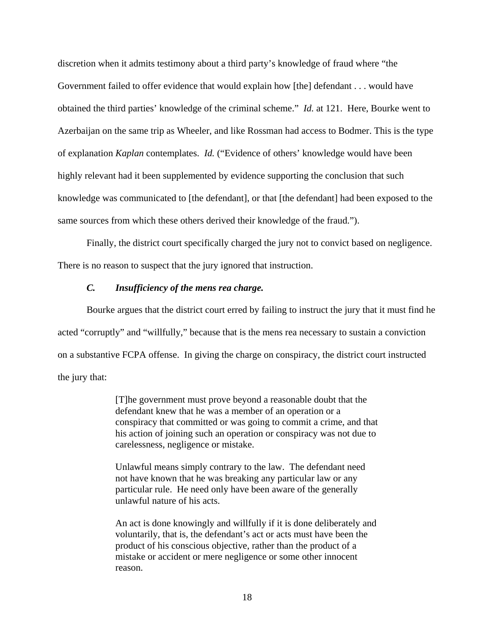discretion when it admits testimony about a third party's knowledge of fraud where "the Government failed to offer evidence that would explain how [the] defendant . . . would have obtained the third parties' knowledge of the criminal scheme." *Id.* at 121. Here, Bourke went to Azerbaijan on the same trip as Wheeler, and like Rossman had access to Bodmer. This is the type of explanation *Kaplan* contemplates. *Id.* ("Evidence of others' knowledge would have been highly relevant had it been supplemented by evidence supporting the conclusion that such knowledge was communicated to [the defendant], or that [the defendant] had been exposed to the same sources from which these others derived their knowledge of the fraud.").

Finally, the district court specifically charged the jury not to convict based on negligence. There is no reason to suspect that the jury ignored that instruction.

#### *C. Insufficiency of the mens rea charge.*

Bourke argues that the district court erred by failing to instruct the jury that it must find he acted "corruptly" and "willfully," because that is the mens rea necessary to sustain a conviction on a substantive FCPA offense. In giving the charge on conspiracy, the district court instructed the jury that:

> [T]he government must prove beyond a reasonable doubt that the defendant knew that he was a member of an operation or a conspiracy that committed or was going to commit a crime, and that his action of joining such an operation or conspiracy was not due to carelessness, negligence or mistake.

Unlawful means simply contrary to the law. The defendant need not have known that he was breaking any particular law or any particular rule. He need only have been aware of the generally unlawful nature of his acts.

An act is done knowingly and willfully if it is done deliberately and voluntarily, that is, the defendant's act or acts must have been the product of his conscious objective, rather than the product of a mistake or accident or mere negligence or some other innocent reason.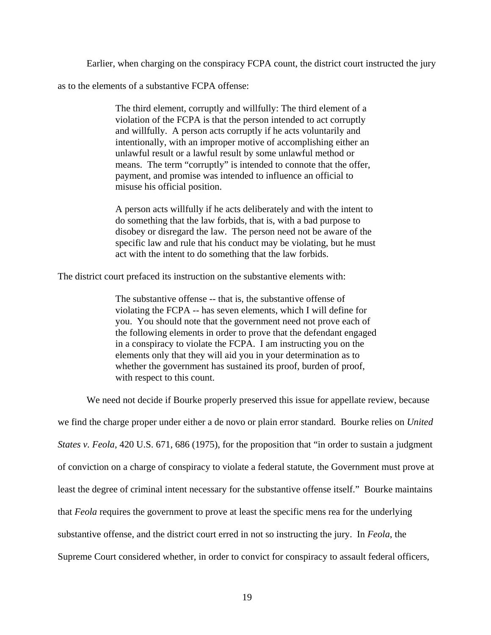Earlier, when charging on the conspiracy FCPA count, the district court instructed the jury

as to the elements of a substantive FCPA offense:

The third element, corruptly and willfully: The third element of a violation of the FCPA is that the person intended to act corruptly and willfully. A person acts corruptly if he acts voluntarily and intentionally, with an improper motive of accomplishing either an unlawful result or a lawful result by some unlawful method or means. The term "corruptly" is intended to connote that the offer, payment, and promise was intended to influence an official to misuse his official position.

A person acts willfully if he acts deliberately and with the intent to do something that the law forbids, that is, with a bad purpose to disobey or disregard the law. The person need not be aware of the specific law and rule that his conduct may be violating, but he must act with the intent to do something that the law forbids.

The district court prefaced its instruction on the substantive elements with:

The substantive offense -- that is, the substantive offense of violating the FCPA -- has seven elements, which I will define for you. You should note that the government need not prove each of the following elements in order to prove that the defendant engaged in a conspiracy to violate the FCPA. I am instructing you on the elements only that they will aid you in your determination as to whether the government has sustained its proof, burden of proof, with respect to this count.

We need not decide if Bourke properly preserved this issue for appellate review, because

we find the charge proper under either a de novo or plain error standard. Bourke relies on *United States v. Feola*, 420 U.S. 671, 686 (1975), for the proposition that "in order to sustain a judgment of conviction on a charge of conspiracy to violate a federal statute, the Government must prove at least the degree of criminal intent necessary for the substantive offense itself." Bourke maintains that *Feola* requires the government to prove at least the specific mens rea for the underlying substantive offense, and the district court erred in not so instructing the jury. In *Feola*, the Supreme Court considered whether, in order to convict for conspiracy to assault federal officers,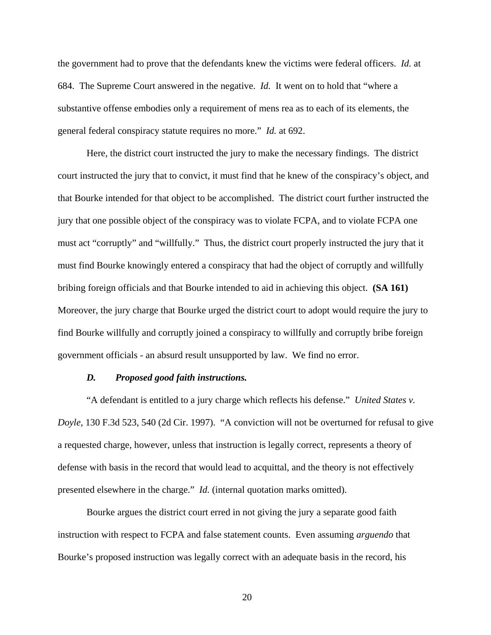the government had to prove that the defendants knew the victims were federal officers. *Id.* at 684. The Supreme Court answered in the negative. *Id.* It went on to hold that "where a substantive offense embodies only a requirement of mens rea as to each of its elements, the general federal conspiracy statute requires no more." *Id.* at 692.

Here, the district court instructed the jury to make the necessary findings. The district court instructed the jury that to convict, it must find that he knew of the conspiracy's object, and that Bourke intended for that object to be accomplished. The district court further instructed the jury that one possible object of the conspiracy was to violate FCPA, and to violate FCPA one must act "corruptly" and "willfully." Thus, the district court properly instructed the jury that it must find Bourke knowingly entered a conspiracy that had the object of corruptly and willfully bribing foreign officials and that Bourke intended to aid in achieving this object. **(SA 161)** Moreover, the jury charge that Bourke urged the district court to adopt would require the jury to find Bourke willfully and corruptly joined a conspiracy to willfully and corruptly bribe foreign government officials - an absurd result unsupported by law. We find no error.

#### *D. Proposed good faith instructions.*

"A defendant is entitled to a jury charge which reflects his defense." *United States v. Doyle*, 130 F.3d 523, 540 (2d Cir. 1997). "A conviction will not be overturned for refusal to give a requested charge, however, unless that instruction is legally correct, represents a theory of defense with basis in the record that would lead to acquittal, and the theory is not effectively presented elsewhere in the charge." *Id.* (internal quotation marks omitted).

Bourke argues the district court erred in not giving the jury a separate good faith instruction with respect to FCPA and false statement counts. Even assuming *arguendo* that Bourke's proposed instruction was legally correct with an adequate basis in the record, his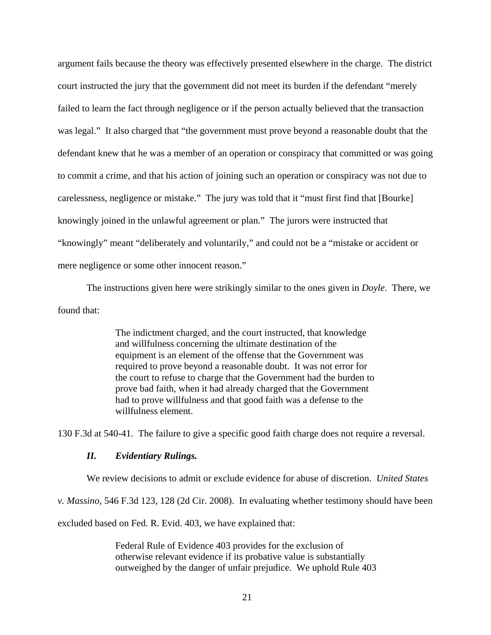argument fails because the theory was effectively presented elsewhere in the charge. The district court instructed the jury that the government did not meet its burden if the defendant "merely failed to learn the fact through negligence or if the person actually believed that the transaction was legal." It also charged that "the government must prove beyond a reasonable doubt that the defendant knew that he was a member of an operation or conspiracy that committed or was going to commit a crime, and that his action of joining such an operation or conspiracy was not due to carelessness, negligence or mistake." The jury was told that it "must first find that [Bourke] knowingly joined in the unlawful agreement or plan." The jurors were instructed that "knowingly" meant "deliberately and voluntarily," and could not be a "mistake or accident or mere negligence or some other innocent reason."

The instructions given here were strikingly similar to the ones given in *Doyle*. There, we found that:

> The indictment charged, and the court instructed, that knowledge and willfulness concerning the ultimate destination of the equipment is an element of the offense that the Government was required to prove beyond a reasonable doubt. It was not error for the court to refuse to charge that the Government had the burden to prove bad faith, when it had already charged that the Government had to prove willfulness and that good faith was a defense to the willfulness element.

130 F.3d at 540-41. The failure to give a specific good faith charge does not require a reversal.

#### *II. Evidentiary Rulings.*

We review decisions to admit or exclude evidence for abuse of discretion. *United States*

*v. Massino*, 546 F.3d 123, 128 (2d Cir. 2008). In evaluating whether testimony should have been

excluded based on Fed. R. Evid. 403, we have explained that:

Federal Rule of Evidence 403 provides for the exclusion of otherwise relevant evidence if its probative value is substantially outweighed by the danger of unfair prejudice. We uphold Rule 403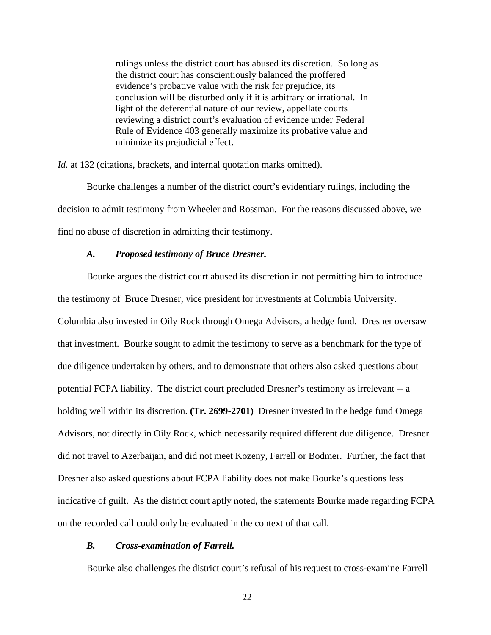rulings unless the district court has abused its discretion. So long as the district court has conscientiously balanced the proffered evidence's probative value with the risk for prejudice, its conclusion will be disturbed only if it is arbitrary or irrational. In light of the deferential nature of our review, appellate courts reviewing a district court's evaluation of evidence under Federal Rule of Evidence 403 generally maximize its probative value and minimize its prejudicial effect.

*Id.* at 132 (citations, brackets, and internal quotation marks omitted).

Bourke challenges a number of the district court's evidentiary rulings, including the decision to admit testimony from Wheeler and Rossman. For the reasons discussed above, we find no abuse of discretion in admitting their testimony.

#### *A. Proposed testimony of Bruce Dresner.*

Bourke argues the district court abused its discretion in not permitting him to introduce the testimony of Bruce Dresner, vice president for investments at Columbia University. Columbia also invested in Oily Rock through Omega Advisors, a hedge fund. Dresner oversaw that investment. Bourke sought to admit the testimony to serve as a benchmark for the type of due diligence undertaken by others, and to demonstrate that others also asked questions about potential FCPA liability. The district court precluded Dresner's testimony as irrelevant -- a holding well within its discretion. **(Tr. 2699-2701)** Dresner invested in the hedge fund Omega Advisors, not directly in Oily Rock, which necessarily required different due diligence. Dresner did not travel to Azerbaijan, and did not meet Kozeny, Farrell or Bodmer. Further, the fact that Dresner also asked questions about FCPA liability does not make Bourke's questions less indicative of guilt. As the district court aptly noted, the statements Bourke made regarding FCPA on the recorded call could only be evaluated in the context of that call.

#### *B. Cross-examination of Farrell.*

Bourke also challenges the district court's refusal of his request to cross-examine Farrell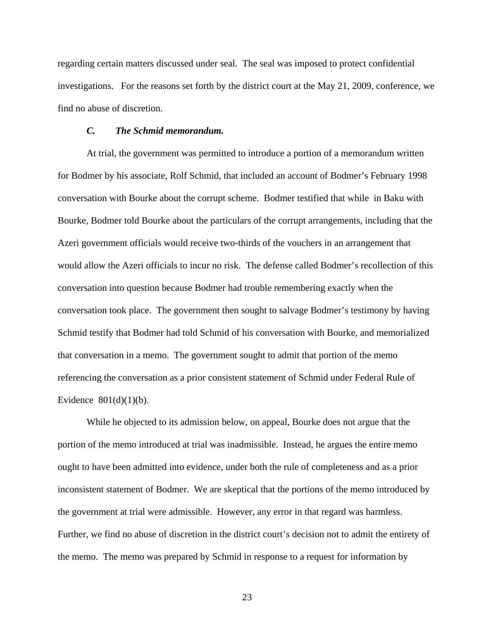regarding certain matters discussed under seal. The seal was imposed to protect confidential investigations. For the reasons set forth by the district court at the May 21, 2009, conference, we find no abuse of discretion.

#### *C. The Schmid memorandum.*

At trial, the government was permitted to introduce a portion of a memorandum written for Bodmer by his associate, Rolf Schmid, that included an account of Bodmer's February 1998 conversation with Bourke about the corrupt scheme. Bodmer testified that while in Baku with Bourke, Bodmer told Bourke about the particulars of the corrupt arrangements, including that the Azeri government officials would receive two-thirds of the vouchers in an arrangement that would allow the Azeri officials to incur no risk. The defense called Bodmer's recollection of this conversation into question because Bodmer had trouble remembering exactly when the conversation took place. The government then sought to salvage Bodmer's testimony by having Schmid testify that Bodmer had told Schmid of his conversation with Bourke, and memorialized that conversation in a memo. The government sought to admit that portion of the memo referencing the conversation as a prior consistent statement of Schmid under Federal Rule of Evidence  $801(d)(1)(b)$ .

While he objected to its admission below, on appeal, Bourke does not argue that the portion of the memo introduced at trial was inadmissible. Instead, he argues the entire memo ought to have been admitted into evidence, under both the rule of completeness and as a prior inconsistent statement of Bodmer. We are skeptical that the portions of the memo introduced by the government at trial were admissible. However, any error in that regard was harmless. Further, we find no abuse of discretion in the district court's decision not to admit the entirety of the memo. The memo was prepared by Schmid in response to a request for information by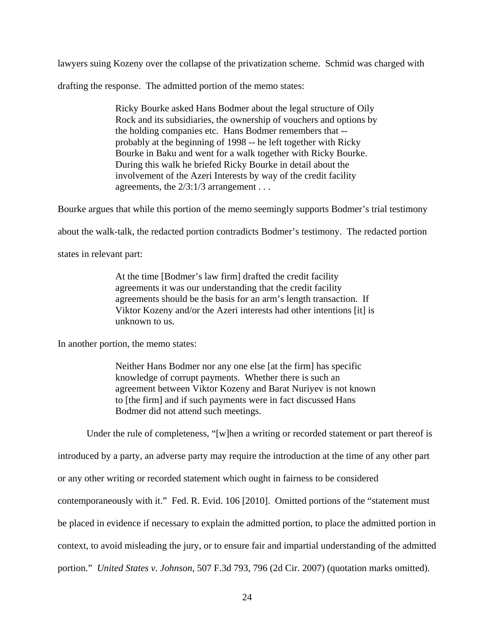lawyers suing Kozeny over the collapse of the privatization scheme. Schmid was charged with

drafting the response. The admitted portion of the memo states:

Ricky Bourke asked Hans Bodmer about the legal structure of Oily Rock and its subsidiaries, the ownership of vouchers and options by the holding companies etc. Hans Bodmer remembers that - probably at the beginning of 1998 -- he left together with Ricky Bourke in Baku and went for a walk together with Ricky Bourke. During this walk he briefed Ricky Bourke in detail about the involvement of the Azeri Interests by way of the credit facility agreements, the 2/3:1/3 arrangement . . .

Bourke argues that while this portion of the memo seemingly supports Bodmer's trial testimony

about the walk-talk, the redacted portion contradicts Bodmer's testimony. The redacted portion

states in relevant part:

At the time [Bodmer's law firm] drafted the credit facility agreements it was our understanding that the credit facility agreements should be the basis for an arm's length transaction. If Viktor Kozeny and/or the Azeri interests had other intentions [it] is unknown to us.

In another portion, the memo states:

Neither Hans Bodmer nor any one else [at the firm] has specific knowledge of corrupt payments. Whether there is such an agreement between Viktor Kozeny and Barat Nuriyev is not known to [the firm] and if such payments were in fact discussed Hans Bodmer did not attend such meetings.

Under the rule of completeness, "[w]hen a writing or recorded statement or part thereof is

introduced by a party, an adverse party may require the introduction at the time of any other part

or any other writing or recorded statement which ought in fairness to be considered

contemporaneously with it." Fed. R. Evid. 106 [2010]. Omitted portions of the "statement must

be placed in evidence if necessary to explain the admitted portion, to place the admitted portion in

context, to avoid misleading the jury, or to ensure fair and impartial understanding of the admitted

portion." *United States v. Johnson*, 507 F.3d 793, 796 (2d Cir. 2007) (quotation marks omitted).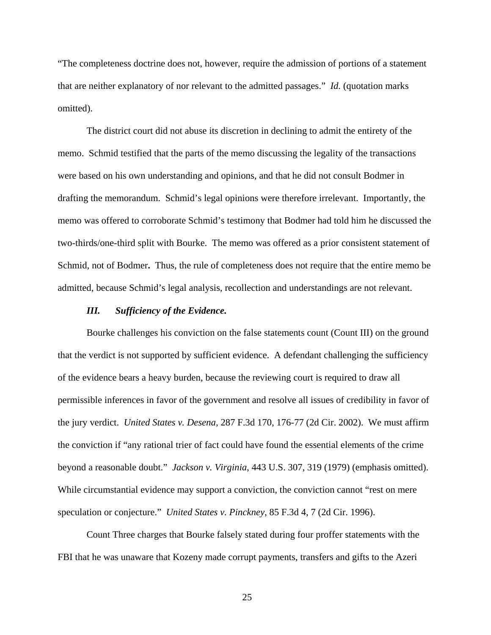"The completeness doctrine does not, however, require the admission of portions of a statement that are neither explanatory of nor relevant to the admitted passages." *Id.* (quotation marks omitted).

The district court did not abuse its discretion in declining to admit the entirety of the memo. Schmid testified that the parts of the memo discussing the legality of the transactions were based on his own understanding and opinions, and that he did not consult Bodmer in drafting the memorandum. Schmid's legal opinions were therefore irrelevant. Importantly, the memo was offered to corroborate Schmid's testimony that Bodmer had told him he discussed the two-thirds/one-third split with Bourke. The memo was offered as a prior consistent statement of Schmid, not of Bodmer**.** Thus, the rule of completeness does not require that the entire memo be admitted, because Schmid's legal analysis, recollection and understandings are not relevant.

#### *III. Sufficiency of the Evidence.*

Bourke challenges his conviction on the false statements count (Count III) on the ground that the verdict is not supported by sufficient evidence. A defendant challenging the sufficiency of the evidence bears a heavy burden, because the reviewing court is required to draw all permissible inferences in favor of the government and resolve all issues of credibility in favor of the jury verdict. *United States v. Desena*, 287 F.3d 170, 176-77 (2d Cir. 2002). We must affirm the conviction if "any rational trier of fact could have found the essential elements of the crime beyond a reasonable doubt." *Jackson v. Virginia*, 443 U.S. 307, 319 (1979) (emphasis omitted). While circumstantial evidence may support a conviction, the conviction cannot "rest on mere" speculation or conjecture." *United States v. Pinckney*, 85 F.3d 4, 7 (2d Cir. 1996).

Count Three charges that Bourke falsely stated during four proffer statements with the FBI that he was unaware that Kozeny made corrupt payments, transfers and gifts to the Azeri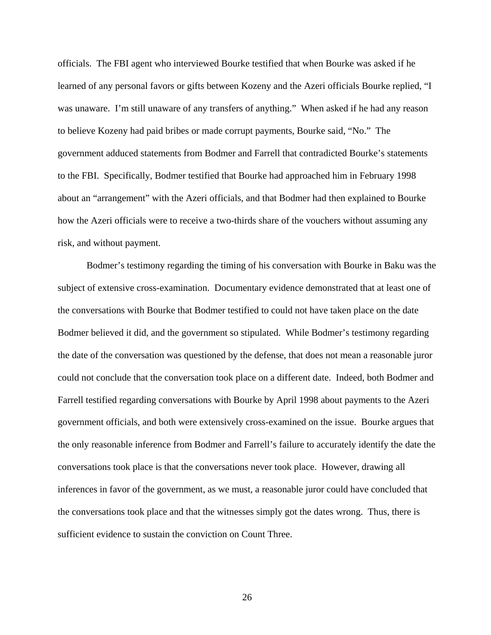officials. The FBI agent who interviewed Bourke testified that when Bourke was asked if he learned of any personal favors or gifts between Kozeny and the Azeri officials Bourke replied, "I was unaware. I'm still unaware of any transfers of anything." When asked if he had any reason to believe Kozeny had paid bribes or made corrupt payments, Bourke said, "No." The government adduced statements from Bodmer and Farrell that contradicted Bourke's statements to the FBI. Specifically, Bodmer testified that Bourke had approached him in February 1998 about an "arrangement" with the Azeri officials, and that Bodmer had then explained to Bourke how the Azeri officials were to receive a two-thirds share of the vouchers without assuming any risk, and without payment.

Bodmer's testimony regarding the timing of his conversation with Bourke in Baku was the subject of extensive cross-examination. Documentary evidence demonstrated that at least one of the conversations with Bourke that Bodmer testified to could not have taken place on the date Bodmer believed it did, and the government so stipulated. While Bodmer's testimony regarding the date of the conversation was questioned by the defense, that does not mean a reasonable juror could not conclude that the conversation took place on a different date. Indeed, both Bodmer and Farrell testified regarding conversations with Bourke by April 1998 about payments to the Azeri government officials, and both were extensively cross-examined on the issue. Bourke argues that the only reasonable inference from Bodmer and Farrell's failure to accurately identify the date the conversations took place is that the conversations never took place. However, drawing all inferences in favor of the government, as we must, a reasonable juror could have concluded that the conversations took place and that the witnesses simply got the dates wrong. Thus, there is sufficient evidence to sustain the conviction on Count Three.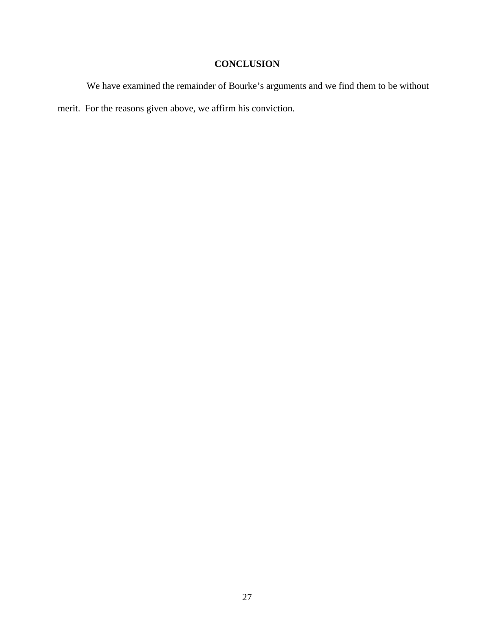## **CONCLUSION**

We have examined the remainder of Bourke's arguments and we find them to be without merit. For the reasons given above, we affirm his conviction.